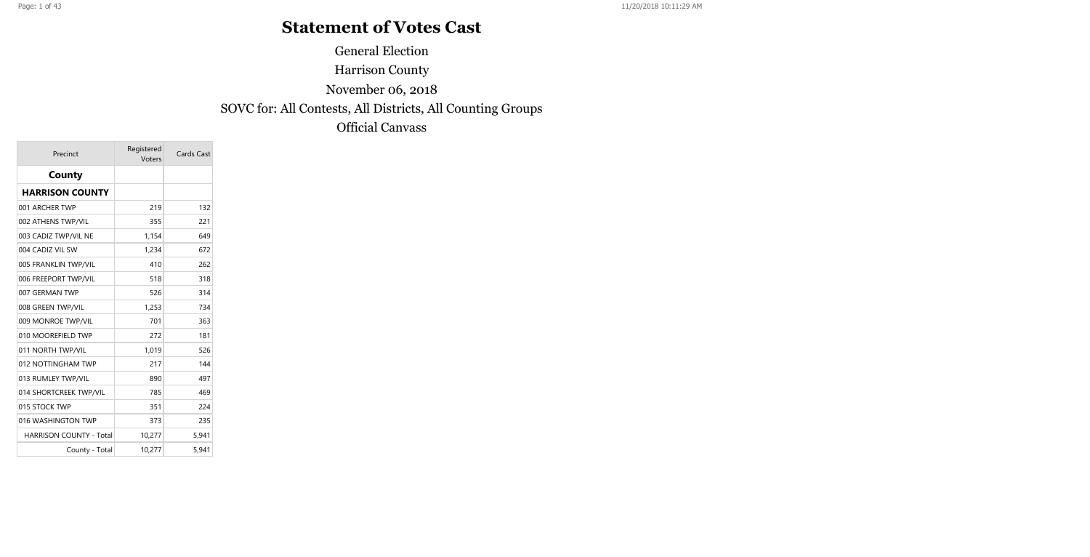# **Statement of Votes Cast**

General Election

Harrison County

November 06, 2018

SOVC for: All Contests, All Districts, All Counting Groups

Official Canvass

| Precinct                       | Registered<br>Voters | Cards Cast |
|--------------------------------|----------------------|------------|
| County                         |                      |            |
| <b>HARRISON COUNTY</b>         |                      |            |
| 001 ARCHER TWP                 | 219                  | 132        |
| 002 ATHENS TWP/VIL             | 355                  | 221        |
| 003 CADIZ TWP/VIL NE           | 1,154                | 649        |
| 004 CADIZ VIL SW               | 1,234                | 672        |
| 005 FRANKLIN TWP/VIL           | 410                  | 262        |
| 006 FREEPORT TWP/VIL           | 518                  | 318        |
| 007 GERMAN TWP                 | 526                  | 314        |
| 008 GREEN TWP/VIL              | 1,253                | 734        |
| 009 MONROE TWP/VIL             | 701                  | 363        |
| 010 MOOREFIELD TWP             | 272                  | 181        |
| 011 NORTH TWP/VIL              | 1,019                | 526        |
| 012 NOTTINGHAM TWP             | 217                  | 144        |
| 013 RUMLEY TWP/VIL             | 890                  | 497        |
| 014 SHORTCREEK TWP/VIL         | 785                  | 469        |
| 015 STOCK TWP                  | 351                  | 224        |
| 016 WASHINGTON TWP             | 373                  | 235        |
| <b>HARRISON COUNTY - Total</b> | 10,277               | 5,941      |
| County - Total                 | 10,277               | 5,941      |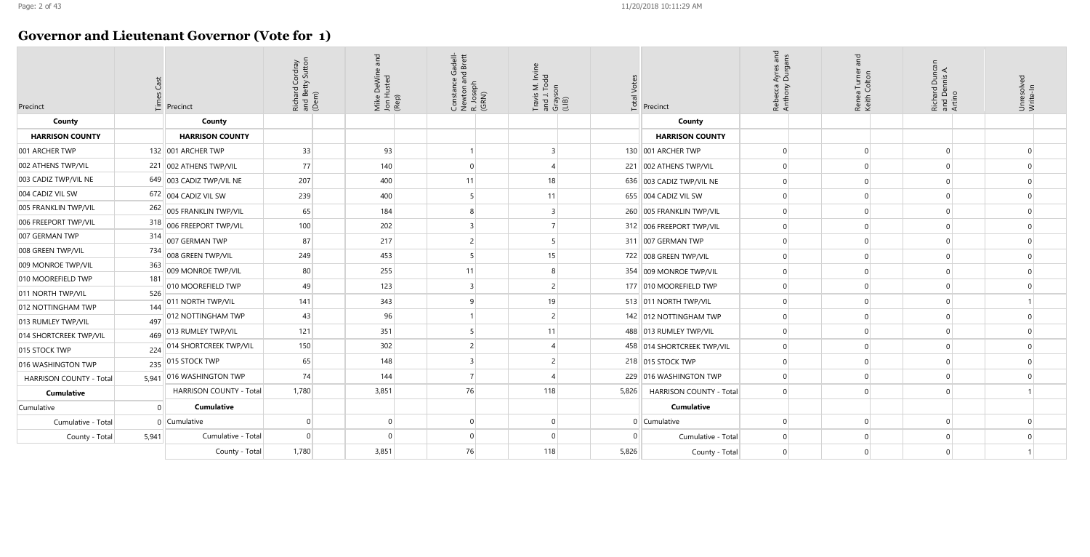### **Governor and Lieutenant Governor (Vote for 1)**

| Precinct                | Cast<br>Times  | Precinct                 | Richard Cordray<br>and Betty Sutton<br>(Dem) | and<br>Mike DeWine<br>Jon Husted<br>(Rep) | Constance Gadell-<br>Newton and Brett | R. Joseph<br>(GRN) | Travis M. Irvine<br>and J. Todd<br>Grayson<br>(LIB) | <b>Total Votes</b> | Precinct                   | Rebecca Ayres and<br>Anthony Durgans |  |
|-------------------------|----------------|--------------------------|----------------------------------------------|-------------------------------------------|---------------------------------------|--------------------|-----------------------------------------------------|--------------------|----------------------------|--------------------------------------|--|
| County                  |                | County                   |                                              |                                           |                                       |                    |                                                     |                    | County                     |                                      |  |
| <b>HARRISON COUNTY</b>  |                | <b>HARRISON COUNTY</b>   |                                              |                                           |                                       |                    |                                                     |                    | <b>HARRISON COUNTY</b>     |                                      |  |
| 001 ARCHER TWP          |                | 132 001 ARCHER TWP       | 33                                           | 93                                        |                                       |                    | 3                                                   |                    | 130 001 ARCHER TWP         | $\Omega$                             |  |
| 002 ATHENS TWP/VIL      |                | 221 002 ATHENS TWP/VIL   | 77                                           | 140                                       | $\Omega$                              |                    | 4                                                   | 221                | 002 ATHENS TWP/VIL         | $\Omega$                             |  |
| 003 CADIZ TWP/VIL NE    |                | 649 003 CADIZ TWP/VIL NE | 207                                          | 400                                       | 11                                    |                    | 18                                                  |                    | 636 003 CADIZ TWP/VIL NE   | $\Omega$                             |  |
| 004 CADIZ VIL SW        | 672            | 004 CADIZ VIL SW         | 239                                          | 400                                       | 5                                     |                    | 11                                                  |                    | 655   004 CADIZ VIL SW     | $\Omega$                             |  |
| 005 FRANKLIN TWP/VIL    | 262            | 005 FRANKLIN TWP/VIL     | 65                                           | 184                                       | 8                                     |                    | 3                                                   |                    | 260 005 FRANKLIN TWP/VIL   | $\Omega$                             |  |
| 006 FREEPORT TWP/VIL    | 318            | 006 FREEPORT TWP/VIL     | 100                                          | 202                                       | $\overline{3}$                        |                    | $\overline{7}$                                      |                    | 312 006 FREEPORT TWP/VIL   | $\Omega$                             |  |
| 007 GERMAN TWP          | 314            | 007 GERMAN TWP           | 87                                           | 217                                       | 2                                     |                    | 5                                                   |                    | 311 007 GERMAN TWP         | $\Omega$                             |  |
| 008 GREEN TWP/VIL       | 734            | 008 GREEN TWP/VIL        | 249                                          | 453                                       | 5                                     |                    | 15                                                  |                    | 722 008 GREEN TWP/VIL      | $\Omega$                             |  |
| 009 MONROE TWP/VIL      | 363            | 009 MONROE TWP/VIL       | 80                                           | 255                                       | 11                                    |                    | 8                                                   | 354                | 009 MONROE TWP/VIL         | $\Omega$                             |  |
| 010 MOOREFIELD TWP      | 181            | 010 MOOREFIELD TWP       | 49                                           | 123                                       | 3                                     |                    | $\overline{c}$                                      |                    | 177 010 MOOREFIELD TWP     | $\Omega$                             |  |
| 011 NORTH TWP/VIL       | 526            | 011 NORTH TWP/VIL        | 141                                          | 343                                       | 9                                     |                    | 19                                                  |                    | 513 011 NORTH TWP/VIL      | $\Omega$                             |  |
| 012 NOTTINGHAM TWP      | 144            | 012 NOTTINGHAM TWP       | 43                                           | 96                                        |                                       |                    | $\overline{c}$                                      |                    | 142 012 NOTTINGHAM TWP     | $\Omega$                             |  |
| 013 RUMLEY TWP/VIL      | 497            | 013 RUMLEY TWP/VIL       | 121                                          | 351                                       | 5                                     |                    | 11                                                  |                    | 488   013 RUMLEY TWP/VIL   | $\mathbf 0$                          |  |
| 014 SHORTCREEK TWP/VIL  | 469            | 014 SHORTCREEK TWP/VIL   | 150                                          | 302                                       | $\overline{c}$                        |                    | 4                                                   |                    |                            | $\Omega$                             |  |
| 015 STOCK TWP           | 224            |                          |                                              |                                           |                                       |                    |                                                     |                    | 458 014 SHORTCREEK TWP/VIL |                                      |  |
| 016 WASHINGTON TWP      | 235            | 015 STOCK TWP            | 65                                           | 148                                       | $\overline{3}$                        |                    | 2                                                   |                    | 218 015 STOCK TWP          | $\Omega$                             |  |
| HARRISON COUNTY - Total | 5,941          | 016 WASHINGTON TWP       | 74                                           | 144                                       | 7                                     |                    | 4                                                   | 229                | 016 WASHINGTON TWP         | $\Omega$                             |  |
| <b>Cumulative</b>       |                | HARRISON COUNTY - Total  | 1,780                                        | 3,851                                     | 76                                    |                    | 118                                                 | 5,826              | HARRISON COUNTY - Total    | $\Omega$                             |  |
| Cumulative              | $\Omega$       | <b>Cumulative</b>        |                                              |                                           |                                       |                    |                                                     |                    | <b>Cumulative</b>          |                                      |  |
| Cumulative - Total      | $\overline{0}$ | Cumulative               | 0                                            | $\overline{0}$                            | $\overline{0}$                        |                    | $\mathbf{0}$                                        |                    | $0$ Cumulative             | $\mathbf 0$                          |  |
| County - Total          | 5,941          | Cumulative - Total       | $\Omega$                                     | $\Omega$                                  | $\Omega$                              |                    | $\Omega$                                            |                    | Cumulative - Total         | $\Omega$                             |  |
|                         |                | County - Total           | 1,780                                        | 3,851                                     | 76                                    |                    | 118                                                 | 5,826              | County - Total             | $\Omega$                             |  |

| Renea Turner and<br>Keith Colton | Richard Duncan<br>and Dennis A.<br>Artino | Unresolved<br>Write-In |
|----------------------------------|-------------------------------------------|------------------------|
|                                  |                                           |                        |
|                                  |                                           |                        |
| $\mathbf{0}$                     | $\mathbf{0}$                              | $\mathbf{0}$           |
| $\mathbf{0}$                     | $\mathbf{0}$                              | $\mathbf{0}$           |
| $\mathbf{0}$                     | $\mathbf 0$                               | $\mathbf{0}$           |
| $\overline{0}$                   | $\mathbf{0}$                              | $\overline{0}$         |
| $\mathbf{0}$                     | $\mathbf{0}$                              | $\mathbf{0}$           |
| $\mathbf{0}$                     | $\mathbf{0}$                              | $\mathbf{0}$           |
| $\mathbf{0}$                     | $\mathbf{0}$                              | $\mathbf{0}$           |
| $\overline{0}$                   | $\mathbf{0}$                              | $\mathbf{0}$           |
| $\overline{0}$                   | $\mathbf{0}$                              | $\mathbf{0}$           |
| $\mathbf{0}$                     | $\mathbf{0}$                              | $\mathbf{0}$           |
| $\mathbf{0}$                     | $\mathbf{0}$                              | $\mathbf{1}$           |
| $\mathbf{0}$                     | $\mathbf{0}$                              | $\mathbf{0}$           |
| $\overline{0}$                   | $\mathbf{0}$                              | $\overline{0}$         |
| $\mathbf{0}$                     | $\mathbf{0}$                              | $\mathbf{0}$           |
| $\mathbf{0}$                     | $\mathbf{0}$                              | $\mathbf{0}$           |
| $\overline{0}$                   | $\mathbf{0}$                              | $\mathbf{0}$           |
| $\mathbf{0}$                     | $\overline{0}$                            | $\mathbf{1}$           |
|                                  |                                           |                        |
| $\mathbf{0}$                     | $\mathbf{0}$                              | $\mathbf{0}$           |
| $\overline{0}$                   | $\mathbf{0}$                              | $\mathbf{0}$           |
| $\overline{0}$                   | $\mathbf{0}$                              | $\mathbf{1}$           |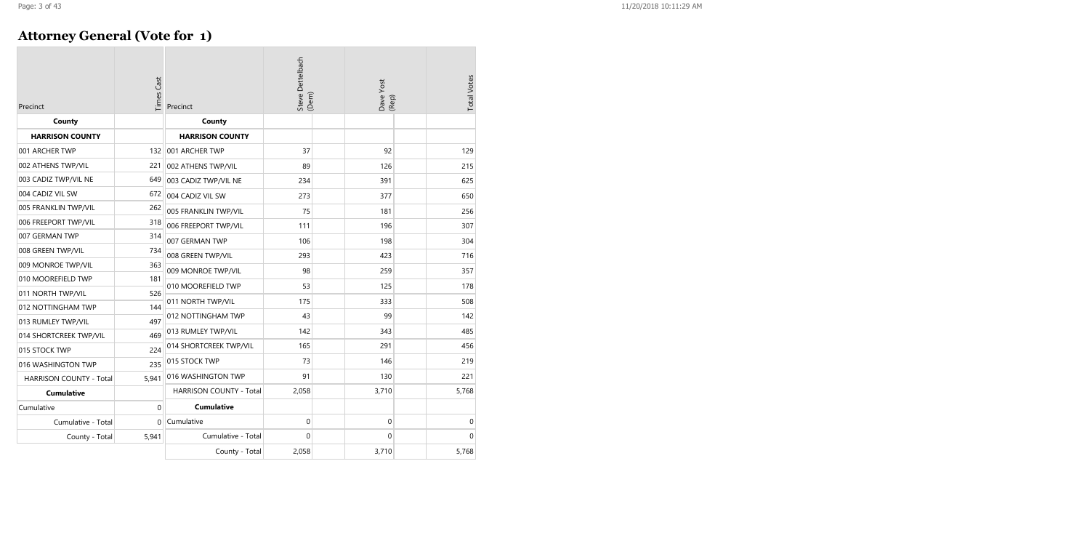### **Attorney General (Vote for 1)**

| Precinct                       | Times Cast   | Precinct                       | Steve Dettelbach<br>(Dem) | Dave Yost<br>(Rep) | <b>Total Votes</b> |
|--------------------------------|--------------|--------------------------------|---------------------------|--------------------|--------------------|
| County                         |              | County                         |                           |                    |                    |
| <b>HARRISON COUNTY</b>         |              | <b>HARRISON COUNTY</b>         |                           |                    |                    |
| 001 ARCHER TWP                 |              | 132 001 ARCHER TWP             | 37                        | 92                 | 129                |
| 002 ATHENS TWP/VIL             | 221          | 002 ATHENS TWP/VIL             | 89                        | 126                | 215                |
| 003 CADIZ TWP/VIL NE           | 649          | 003 CADIZ TWP/VIL NE           | 234                       | 391                | 625                |
| 004 CADIZ VIL SW               | 672          | 004 CADIZ VIL SW               | 273                       | 377                | 650                |
| 005 FRANKLIN TWP/VIL           | 262          | 005 FRANKLIN TWP/VIL           | 75                        | 181                | 256                |
| 006 FREEPORT TWP/VIL           | 318          | 006 FREEPORT TWP/VIL           | 111                       | 196                | 307                |
| 007 GERMAN TWP                 | 314          | 007 GERMAN TWP                 | 106                       | 198                | 304                |
| 008 GREEN TWP/VIL              | 734          | 008 GREEN TWP/VIL              | 293                       | 423                | 716                |
| 009 MONROE TWP/VIL             | 363          | 009 MONROE TWP/VIL             | 98                        | 259                | 357                |
| 010 MOOREFIELD TWP             | 181          | 010 MOOREFIELD TWP             | 53                        | 125                | 178                |
| 011 NORTH TWP/VIL              | 526          |                                | 175                       | 333                | 508                |
| 012 NOTTINGHAM TWP             | 144          | 011 NORTH TWP/VIL              |                           |                    |                    |
| 013 RUMLEY TWP/VIL             | 497          | 012 NOTTINGHAM TWP             | 43                        | 99                 | 142                |
| 014 SHORTCREEK TWP/VIL         | 469          | 013 RUMLEY TWP/VIL             | 142                       | 343                | 485                |
| 015 STOCK TWP                  | 224          | 014 SHORTCREEK TWP/VIL         | 165                       | 291                | 456                |
| 016 WASHINGTON TWP             | 235          | 015 STOCK TWP                  | 73                        | 146                | 219                |
| <b>HARRISON COUNTY - Total</b> | 5,941        | 016 WASHINGTON TWP             | 91                        | 130                | 221                |
| <b>Cumulative</b>              |              | <b>HARRISON COUNTY - Total</b> | 2,058                     | 3,710              | 5,768              |
| Cumulative                     | $\mathbf{0}$ | <b>Cumulative</b>              |                           |                    |                    |
| Cumulative - Total             | $\Omega$     | Cumulative                     | 0                         | $\pmb{0}$          | 0                  |
| County - Total                 | 5,941        | Cumulative - Total             | $\mathbf{0}$              | 0                  | $\overline{0}$     |
|                                |              | County - Total                 | 2,058                     | 3,710              | 5,768              |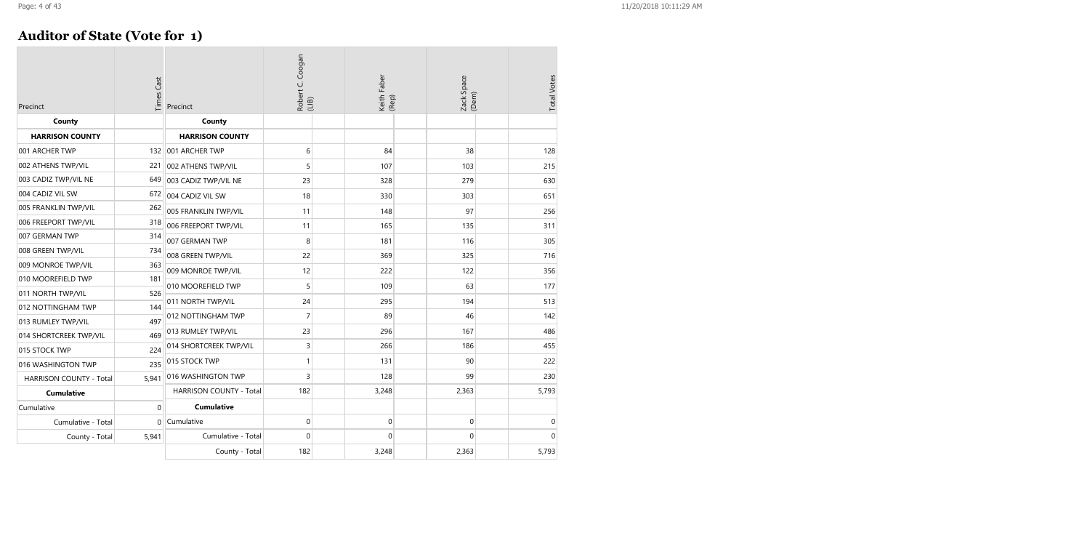### **Auditor of State (Vote for 1)**

| Precinct                       | <b>Times Cast</b> | Precinct                       | Coogan<br>Robert C. (<br>(LIB) | Keith Faber<br>(Rep) | Zack Space<br>(Dem) | <b>Total Votes</b> |
|--------------------------------|-------------------|--------------------------------|--------------------------------|----------------------|---------------------|--------------------|
| County                         |                   | County                         |                                |                      |                     |                    |
| <b>HARRISON COUNTY</b>         |                   | <b>HARRISON COUNTY</b>         |                                |                      |                     |                    |
| 001 ARCHER TWP                 | 132               | 001 ARCHER TWP                 | 6                              | 84                   | 38                  | 128                |
| 002 ATHENS TWP/VIL             | 221               | 002 ATHENS TWP/VIL             | 5                              | 107                  | 103                 | 215                |
| 003 CADIZ TWP/VIL NE           | 649               | 003 CADIZ TWP/VIL NE           | 23                             | 328                  | 279                 | 630                |
| 004 CADIZ VIL SW               | 672               | 004 CADIZ VIL SW               | 18                             | 330                  | 303                 | 651                |
| 005 FRANKLIN TWP/VIL           | 262               | 005 FRANKLIN TWP/VIL           | 11                             | 148                  | 97                  | 256                |
| 006 FREEPORT TWP/VIL           | 318               | 006 FREEPORT TWP/VIL           | 11                             | 165                  | 135                 | 311                |
| 007 GERMAN TWP                 | 314               | 007 GERMAN TWP                 | 8                              | 181                  | 116                 | 305                |
| 008 GREEN TWP/VIL              | 734               | 008 GREEN TWP/VIL              | 22                             | 369                  | 325                 | 716                |
| 009 MONROE TWP/VIL             | 363               | 009 MONROE TWP/VIL             | 12                             | 222                  | 122                 | 356                |
| 010 MOOREFIELD TWP             | 181               | 010 MOOREFIELD TWP             | 5                              | 109                  | 63                  | 177                |
| 011 NORTH TWP/VIL              | 526               |                                | 24                             |                      | 194                 | 513                |
| 012 NOTTINGHAM TWP             | 144               | 011 NORTH TWP/VIL              |                                | 295                  |                     |                    |
| 013 RUMLEY TWP/VIL             | 497               | 012 NOTTINGHAM TWP             | $\overline{7}$                 | 89                   | 46                  | 142                |
| 014 SHORTCREEK TWP/VIL         | 469               | 013 RUMLEY TWP/VIL             | 23                             | 296                  | 167                 | 486                |
| 015 STOCK TWP                  | 224               | 014 SHORTCREEK TWP/VIL         | 3                              | 266                  | 186                 | 455                |
| 016 WASHINGTON TWP             | 235               | 015 STOCK TWP                  | 1                              | 131                  | 90                  | 222                |
| <b>HARRISON COUNTY - Total</b> | 5,941             | 016 WASHINGTON TWP             | 3                              | 128                  | 99                  | 230                |
| <b>Cumulative</b>              |                   | <b>HARRISON COUNTY - Total</b> | 182                            | 3,248                | 2,363               | 5,793              |
| Cumulative                     | $\mathbf 0$       | <b>Cumulative</b>              |                                |                      |                     |                    |
| Cumulative - Total             | $\Omega$          | Cumulative                     | 0                              | $\overline{0}$       | $\mathbf 0$         | $\mathbf 0$        |
| County - Total                 | 5,941             | Cumulative - Total             | 0                              | 0                    | $\mathbf 0$         | $\mathbf 0$        |
|                                |                   | County - Total                 | 182                            | 3,248                | 2,363               | 5,793              |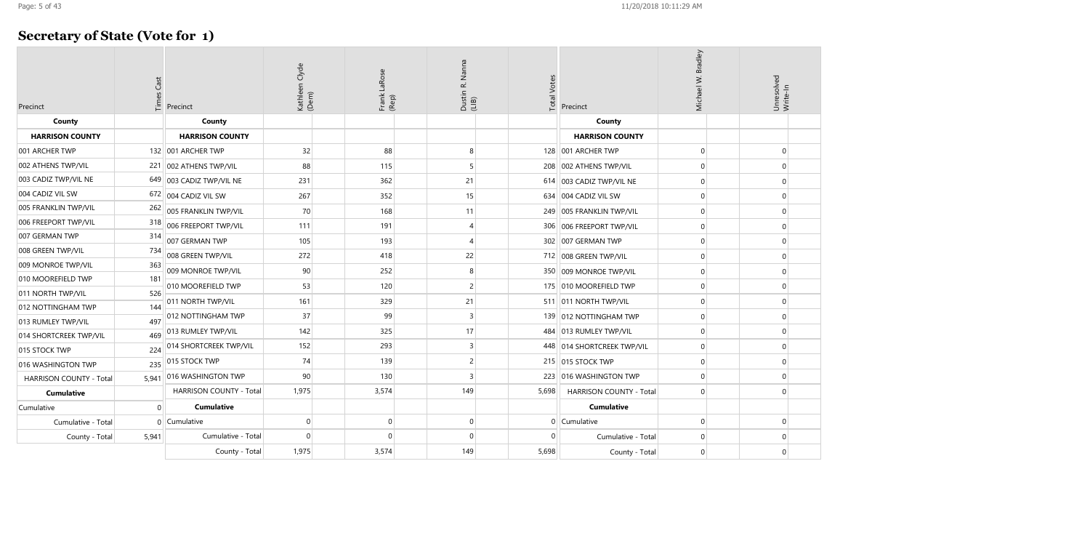# **Secretary of State (Vote for 1)**

| Precinct                       | Cast<br>Times | Precinct                 | Kathleen Clyde<br>(Dem) | Frank LaRose<br>(Rep) | Nanna<br>œ<br>Dustin  <br>(LIB) | <b>Total Votes</b> | Precinct                     | Michael W. Bradley | Unresolved<br>Write-In |
|--------------------------------|---------------|--------------------------|-------------------------|-----------------------|---------------------------------|--------------------|------------------------------|--------------------|------------------------|
| County                         |               | County                   |                         |                       |                                 |                    | County                       |                    |                        |
| <b>HARRISON COUNTY</b>         |               | <b>HARRISON COUNTY</b>   |                         |                       |                                 |                    | <b>HARRISON COUNTY</b>       |                    |                        |
| 001 ARCHER TWP                 |               | 132 001 ARCHER TWP       | 32                      | 88                    | 8                               |                    | 128 001 ARCHER TWP           |                    | $\mathbf 0$            |
| 002 ATHENS TWP/VIL             |               | 221 002 ATHENS TWP/VIL   | 88                      | 115                   | 5                               |                    | 208 002 ATHENS TWP/VIL       | $\Omega$           | $\Omega$               |
| 003 CADIZ TWP/VIL NE           |               | 649 003 CADIZ TWP/VIL NE | 231                     | 362                   | 21                              |                    | 614 003 CADIZ TWP/VIL NE     | $\Omega$           | $\mathbf 0$            |
| 004 CADIZ VIL SW               |               | 672 004 CADIZ VIL SW     | 267                     | 352                   | 15                              |                    | 634 004 CADIZ VIL SW         |                    | $\mathbf{0}$           |
| 005 FRANKLIN TWP/VIL           | 262           | 005 FRANKLIN TWP/VIL     | 70                      | 168                   | 11                              |                    | 249 005 FRANKLIN TWP/VIL     | $\Omega$           | $\mathbf{0}$           |
| 006 FREEPORT TWP/VIL           | 318           | 006 FREEPORT TWP/VIL     | 111                     | 191                   | 4                               |                    | 306 006 FREEPORT TWP/VIL     | $\Omega$           | $\mathbf 0$            |
| 007 GERMAN TWP                 | 314           | 007 GERMAN TWP           | 105                     | 193                   | 4                               |                    | 302 007 GERMAN TWP           | $\Omega$           | $\mathbf 0$            |
| 008 GREEN TWP/VIL              | 734           | 008 GREEN TWP/VIL        | 272                     | 418                   | 22                              |                    | 712 008 GREEN TWP/VIL        |                    | $\mathbf{0}$           |
| 009 MONROE TWP/VIL             | 363           | 009 MONROE TWP/VIL       | 90                      | 252                   | 8                               | 350                | 009 MONROE TWP/VIL           | ∩                  | $\mathbf 0$            |
| 010 MOOREFIELD TWP             | 181           | 010 MOOREFIELD TWP       | 53                      | 120                   | 2                               |                    | 175 010 MOOREFIELD TWP       | $\Omega$           | $\mathbf 0$            |
| 011 NORTH TWP/VIL              | 526           | 011 NORTH TWP/VIL        | 161                     | 329                   | 21                              |                    | 511 011 NORTH TWP/VIL        | $\Omega$           | $\mathbf 0$            |
| 012 NOTTINGHAM TWP             | 144           | 012 NOTTINGHAM TWP       | 37                      | 99                    | 3                               |                    | 139 012 NOTTINGHAM TWP       | $\Omega$           | $\mathbf{0}$           |
| 013 RUMLEY TWP/VIL             | 497           |                          |                         |                       |                                 |                    |                              |                    |                        |
| 014 SHORTCREEK TWP/VIL         | 469           | 013 RUMLEY TWP/VIL       | 142                     | 325                   | 17                              |                    | 484   013 RUMLEY TWP/VIL     | $\Omega$           | $\mathbf 0$            |
| 015 STOCK TWP                  | 224           | 014 SHORTCREEK TWP/VIL   | 152                     | 293                   | 3                               |                    | 448   014 SHORTCREEK TWP/VIL | $\Omega$           | $\mathbf 0$            |
| 016 WASHINGTON TWP             | 235           | 015 STOCK TWP            | 74                      | 139                   | 2                               |                    | 215 015 STOCK TWP            |                    | $\mathbf{0}$           |
| <b>HARRISON COUNTY - Total</b> | 5.941         | 016 WASHINGTON TWP       | 90                      | 130                   | 3                               | 223                | 016 WASHINGTON TWP           | $\Omega$           | $\mathbf 0$            |
| <b>Cumulative</b>              |               | HARRISON COUNTY - Total  | 1,975                   | 3,574                 | 149                             | 5,698              | HARRISON COUNTY - Total      |                    | $\Omega$               |
| Cumulative                     | U             | <b>Cumulative</b>        |                         |                       |                                 |                    | <b>Cumulative</b>            |                    |                        |
| Cumulative - Total             |               | 0 Cumulative             | $\Omega$                | $\Omega$              | 0                               | $\overline{0}$     | Cumulative                   | $\Omega$           | $\mathbf 0$            |
| County - Total                 | 5,941         | Cumulative - Total       | $\mathbf 0$             | $\Omega$              | 0                               | $\Omega$           | Cumulative - Total           | $\Omega$           | $\mathbf{0}$           |
|                                |               | County - Total           | 1,975                   | 3,574                 | 149                             | 5,698              | County - Total               |                    | $\Omega$               |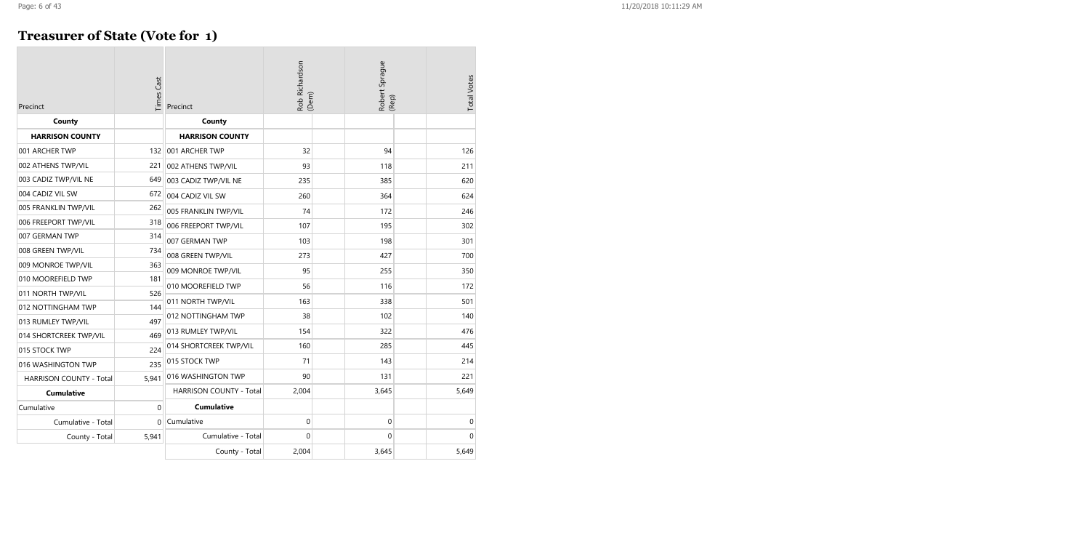### **Treasurer of State (Vote for 1)**

| Precinct                       | Times Cast  | Precinct                       | Rob Richardson<br>(Dem) |  | Robert Sprague<br>(Rep) |  | <b>Total Votes</b> |
|--------------------------------|-------------|--------------------------------|-------------------------|--|-------------------------|--|--------------------|
| County                         |             | County                         |                         |  |                         |  |                    |
| <b>HARRISON COUNTY</b>         |             | <b>HARRISON COUNTY</b>         |                         |  |                         |  |                    |
| 001 ARCHER TWP                 | 132         | 001 ARCHER TWP                 | 32                      |  | 94                      |  | 126                |
| 002 ATHENS TWP/VIL             | 221         | 002 ATHENS TWP/VIL             | 93                      |  | 118                     |  | 211                |
| 003 CADIZ TWP/VIL NE           | 649         | 003 CADIZ TWP/VIL NE           | 235                     |  | 385                     |  | 620                |
| 004 CADIZ VIL SW               | 672         | 004 CADIZ VIL SW               | 260                     |  | 364                     |  | 624                |
| 005 FRANKLIN TWP/VIL           | 262         | 005 FRANKLIN TWP/VIL           | 74                      |  | 172                     |  | 246                |
| 006 FREEPORT TWP/VIL           | 318         | 006 FREEPORT TWP/VIL           | 107                     |  | 195                     |  | 302                |
| 007 GERMAN TWP                 | 314         | 007 GERMAN TWP                 | 103                     |  | 198                     |  | 301                |
| 008 GREEN TWP/VIL              | 734         | 008 GREEN TWP/VIL              | 273                     |  | 427                     |  | 700                |
| 009 MONROE TWP/VIL             | 363         | 009 MONROE TWP/VIL             | 95                      |  | 255                     |  | 350                |
| 010 MOOREFIELD TWP             | 181         | 010 MOOREFIELD TWP             | 56                      |  | 116                     |  | 172                |
| 011 NORTH TWP/VIL              | 526         |                                |                         |  |                         |  |                    |
| 012 NOTTINGHAM TWP             | 144         | 011 NORTH TWP/VIL              | 163                     |  | 338                     |  | 501                |
| 013 RUMLEY TWP/VIL             | 497         | 012 NOTTINGHAM TWP             | 38                      |  | 102                     |  | 140                |
| 014 SHORTCREEK TWP/VIL         | 469         | 013 RUMLEY TWP/VIL             | 154                     |  | 322                     |  | 476                |
| 015 STOCK TWP                  | 224         | 014 SHORTCREEK TWP/VIL         | 160                     |  | 285                     |  | 445                |
| 016 WASHINGTON TWP             | 235         | 015 STOCK TWP                  | 71                      |  | 143                     |  | 214                |
| <b>HARRISON COUNTY - Total</b> | 5,941       | 016 WASHINGTON TWP             | 90                      |  | 131                     |  | 221                |
| <b>Cumulative</b>              |             | <b>HARRISON COUNTY - Total</b> | 2,004                   |  | 3,645                   |  | 5,649              |
| Cumulative                     | $\mathbf 0$ | <b>Cumulative</b>              |                         |  |                         |  |                    |
| Cumulative - Total             | $\Omega$    | Cumulative                     | $\pmb{0}$               |  | $\mathbf 0$             |  | 0                  |
| County - Total                 | 5,941       | Cumulative - Total             | 0                       |  | $\mathbf{0}$            |  | $\overline{0}$     |
|                                |             | County - Total                 | 2,004                   |  | 3,645                   |  | 5,649              |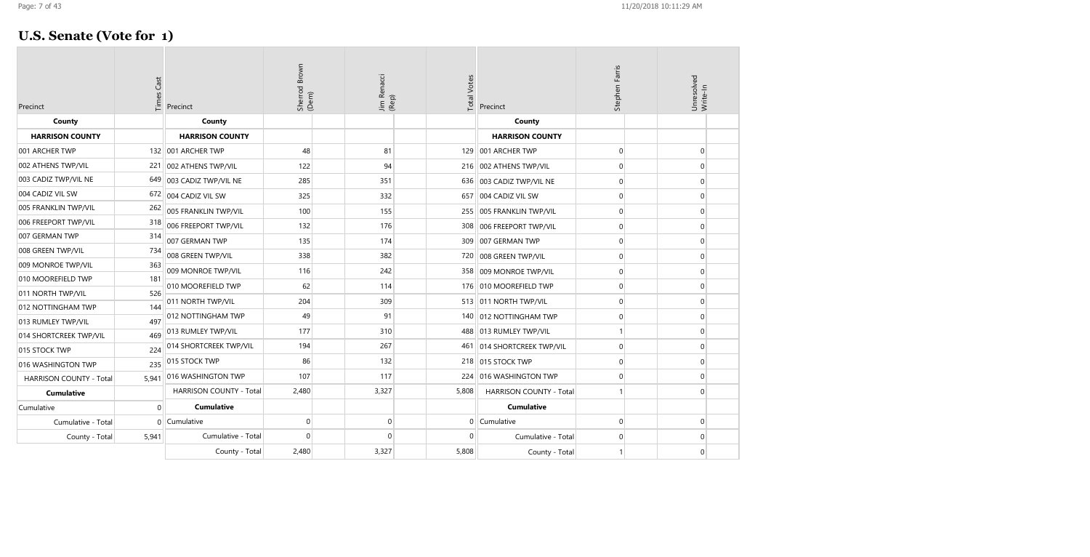### **U.S. Senate (Vote for 1)**

| Precinct                       | Cast<br>Times | Precinct                       | Sherrod Brown<br>(Dem) | Jim Renacci<br>(Rep) | <b>Total Votes</b> | Precinct                       | Stephen Farris | Unresolved<br>Write-In |
|--------------------------------|---------------|--------------------------------|------------------------|----------------------|--------------------|--------------------------------|----------------|------------------------|
| County                         |               | County                         |                        |                      |                    | County                         |                |                        |
| <b>HARRISON COUNTY</b>         |               | <b>HARRISON COUNTY</b>         |                        |                      |                    | <b>HARRISON COUNTY</b>         |                |                        |
| 001 ARCHER TWP                 |               | 132 001 ARCHER TWP             | 48                     | 81                   |                    | 129 001 ARCHER TWP             | $\mathbf 0$    | $\mathbf 0$            |
| 002 ATHENS TWP/VIL             | 221           | 002 ATHENS TWP/VIL             | 122                    | 94                   |                    | 216 002 ATHENS TWP/VIL         | $\mathbf 0$    | $\Omega$               |
| 003 CADIZ TWP/VIL NE           | 649           | 003 CADIZ TWP/VIL NE           | 285                    | 351                  | 636                | 003 CADIZ TWP/VIL NE           | $\overline{0}$ | $\Omega$               |
| 004 CADIZ VIL SW               | 672           | 004 CADIZ VIL SW               | 325                    | 332                  |                    | 657 004 CADIZ VIL SW           | $\overline{0}$ | $\Omega$               |
| 005 FRANKLIN TWP/VIL           | 262           | 005 FRANKLIN TWP/VIL           | 100                    | 155                  |                    | 255   005 FRANKLIN TWP/VIL     | $\mathbf 0$    | $\Omega$               |
| 006 FREEPORT TWP/VIL           | 318           | 006 FREEPORT TWP/VIL           | 132                    | 176                  | 308                | 006 FREEPORT TWP/VIL           | $\mathbf 0$    | $\Omega$               |
| 007 GERMAN TWP                 | 314           | 007 GERMAN TWP                 | 135                    | 174                  |                    | 309 007 GERMAN TWP             | $\mathbf 0$    | $\Omega$               |
| 008 GREEN TWP/VIL              | 734           | 008 GREEN TWP/VIL              | 338                    | 382                  | 720                | 008 GREEN TWP/VIL              | $\mathbf 0$    | $\mathbf 0$            |
| 009 MONROE TWP/VIL             | 363           | 009 MONROE TWP/VIL             | 116                    | 242                  |                    | 358 009 MONROE TWP/VIL         | $\mathbf 0$    | $\Omega$               |
| 010 MOOREFIELD TWP             | 181           | 010 MOOREFIELD TWP             | 62                     | 114                  |                    | 176 010 MOOREFIELD TWP         | $\mathbf 0$    | $\Omega$               |
| 011 NORTH TWP/VIL              | 526           | 011 NORTH TWP/VIL              | 204                    | 309                  |                    | 513 011 NORTH TWP/VIL          | $\mathbf 0$    | $\Omega$               |
| 012 NOTTINGHAM TWP             | 144           | 012 NOTTINGHAM TWP             | 49                     | 91                   |                    | 140   012 NOTTINGHAM TWP       | $\overline{0}$ | $\Omega$               |
| 013 RUMLEY TWP/VIL             | 497           | 013 RUMLEY TWP/VIL             | 177                    | 310                  | 488                | 013 RUMLEY TWP/VIL             | $\mathbf{1}$   | $\Omega$               |
| 014 SHORTCREEK TWP/VIL         | 469           |                                |                        |                      |                    |                                |                |                        |
| 015 STOCK TWP                  | 224           | 014 SHORTCREEK TWP/VIL         | 194                    | 267                  | 461                | 014 SHORTCREEK TWP/VIL         | $\mathbf 0$    | $\Omega$               |
| 016 WASHINGTON TWP             | 235           | 015 STOCK TWP                  | 86                     | 132                  |                    | 218 015 STOCK TWP              | $\mathbf 0$    | $\Omega$               |
| <b>HARRISON COUNTY - Total</b> | 5,941         | 016 WASHINGTON TWP             | 107                    | 117                  | 224                | 016 WASHINGTON TWP             | $\mathbf 0$    | $\Omega$               |
| <b>Cumulative</b>              |               | <b>HARRISON COUNTY - Total</b> | 2,480                  | 3,327                | 5,808              | <b>HARRISON COUNTY - Total</b> | -1             | $\Omega$               |
| Cumulative                     | $\Omega$      | <b>Cumulative</b>              |                        |                      |                    | <b>Cumulative</b>              |                |                        |
| Cumulative - Total             | $\Omega$      | Cumulative                     | $\overline{0}$         | $\Omega$             |                    | $0$   Cumulative               | $\mathbf 0$    | $\Omega$               |
| County - Total                 | 5,941         | Cumulative - Total             | $\overline{0}$         | $\Omega$             | $\Omega$           | Cumulative - Total             | $\mathbf 0$    | $\mathbf 0$            |
|                                |               | County - Total                 | 2,480                  | 3,327                | 5,808              | County - Total                 |                | $\Omega$               |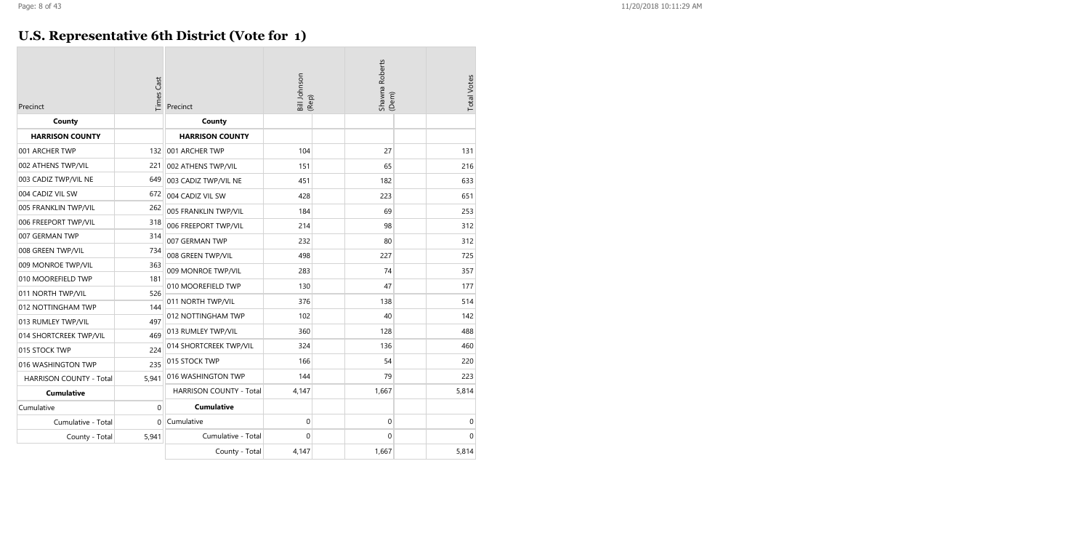### **U.S. Representative 6th District (Vote for 1)**

| Precinct                       | <b>Times Cast</b> | Precinct                | Bill Johnson<br>(Rep) | Shawna Roberts<br>(Dem) | <b>Total Votes</b> |
|--------------------------------|-------------------|-------------------------|-----------------------|-------------------------|--------------------|
| County                         |                   | County                  |                       |                         |                    |
| <b>HARRISON COUNTY</b>         |                   | <b>HARRISON COUNTY</b>  |                       |                         |                    |
| 001 ARCHER TWP                 | 132               | 001 ARCHER TWP          | 104                   | 27                      | 131                |
| 002 ATHENS TWP/VIL             | 221               | 002 ATHENS TWP/VIL      | 151                   | 65                      | 216                |
| 003 CADIZ TWP/VIL NE           | 649               | 003 CADIZ TWP/VIL NE    | 451                   | 182                     | 633                |
| 004 CADIZ VIL SW               | 672               | 004 CADIZ VIL SW        | 428                   | 223                     | 651                |
| 005 FRANKLIN TWP/VIL           | 262               | 005 FRANKLIN TWP/VIL    | 184                   | 69                      | 253                |
| 006 FREEPORT TWP/VIL           | 318               | 006 FREEPORT TWP/VIL    | 214                   | 98                      | 312                |
| 007 GERMAN TWP                 | 314               | 007 GERMAN TWP          | 232                   | 80                      | 312                |
| 008 GREEN TWP/VIL              | 734               | 008 GREEN TWP/VIL       | 498                   | 227                     | 725                |
| 009 MONROE TWP/VIL             | 363               | 009 MONROE TWP/VIL      | 283                   | 74                      | 357                |
| 010 MOOREFIELD TWP             | 181               | 010 MOOREFIELD TWP      | 130                   | 47                      | 177                |
| 011 NORTH TWP/VIL              | 526               |                         |                       |                         |                    |
| 012 NOTTINGHAM TWP             | 144               | 011 NORTH TWP/VIL       | 376                   | 138                     | 514                |
| 013 RUMLEY TWP/VIL             | 497               | 012 NOTTINGHAM TWP      | 102                   | 40                      | 142                |
| 014 SHORTCREEK TWP/VIL         | 469               | 013 RUMLEY TWP/VIL      | 360                   | 128                     | 488                |
| 015 STOCK TWP                  | 224               | 014 SHORTCREEK TWP/VIL  | 324                   | 136                     | 460                |
| 016 WASHINGTON TWP             | 235               | 015 STOCK TWP           | 166                   | 54                      | 220                |
| <b>HARRISON COUNTY - Total</b> | 5,941             | 016 WASHINGTON TWP      | 144                   | 79                      | 223                |
| <b>Cumulative</b>              |                   | HARRISON COUNTY - Total | 4,147                 | 1,667                   | 5,814              |
| Cumulative                     | $\mathbf{0}$      | <b>Cumulative</b>       |                       |                         |                    |
| Cumulative - Total             | 0                 | Cumulative              | 0                     | $\pmb{0}$               | 0                  |
| County - Total                 | 5,941             | Cumulative - Total      | $\Omega$              | $\Omega$                | $\Omega$           |
|                                |                   | County - Total          | 4,147                 | 1,667                   | 5,814              |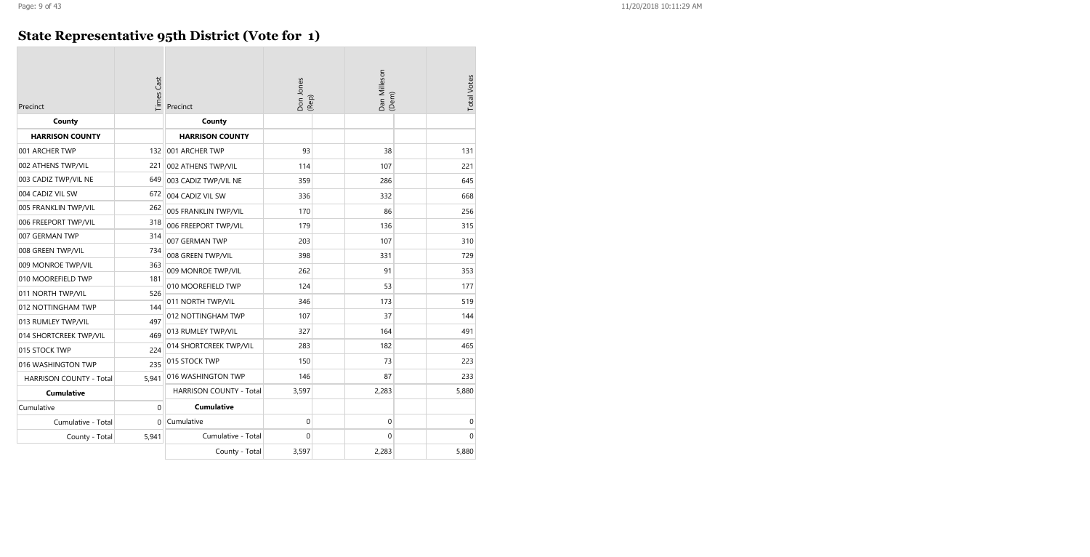### **State Representative 95th District (Vote for 1)**

| Precinct                       | <b>Times Cast</b> | Precinct                | Don Jones<br>(Rep) |  | Dan Milleson<br>(Dem) |  | <b>Total Votes</b> |
|--------------------------------|-------------------|-------------------------|--------------------|--|-----------------------|--|--------------------|
| County                         |                   | County                  |                    |  |                       |  |                    |
| <b>HARRISON COUNTY</b>         |                   | <b>HARRISON COUNTY</b>  |                    |  |                       |  |                    |
| 001 ARCHER TWP                 | 132               | 001 ARCHER TWP          | 93                 |  | 38                    |  | 131                |
| 002 ATHENS TWP/VIL             | 221               | 002 ATHENS TWP/VIL      | 114                |  | 107                   |  | 221                |
| 003 CADIZ TWP/VIL NE           | 649               | 003 CADIZ TWP/VIL NE    | 359                |  | 286                   |  | 645                |
| 004 CADIZ VIL SW               | 672               | 004 CADIZ VIL SW        | 336                |  | 332                   |  | 668                |
| 005 FRANKLIN TWP/VIL           | 262               | 005 FRANKLIN TWP/VIL    | 170                |  | 86                    |  | 256                |
| 006 FREEPORT TWP/VIL           | 318               | 006 FREEPORT TWP/VIL    | 179                |  | 136                   |  | 315                |
| 007 GERMAN TWP                 | 314               | 007 GERMAN TWP          | 203                |  | 107                   |  | 310                |
| 008 GREEN TWP/VIL              | 734               | 008 GREEN TWP/VIL       | 398                |  | 331                   |  | 729                |
| 009 MONROE TWP/VIL             | 363               | 009 MONROE TWP/VIL      | 262                |  | 91                    |  | 353                |
| 010 MOOREFIELD TWP             | 181               | 010 MOOREFIELD TWP      | 124                |  | 53                    |  | 177                |
| 011 NORTH TWP/VIL              | 526               |                         | 346                |  | 173                   |  | 519                |
| 012 NOTTINGHAM TWP             | 144               | 011 NORTH TWP/VIL       |                    |  |                       |  |                    |
| 013 RUMLEY TWP/VIL             | 497               | 012 NOTTINGHAM TWP      | 107                |  | 37                    |  | 144                |
| 014 SHORTCREEK TWP/VIL         | 469               | 013 RUMLEY TWP/VIL      | 327                |  | 164                   |  | 491                |
| 015 STOCK TWP                  | 224               | 014 SHORTCREEK TWP/VIL  | 283                |  | 182                   |  | 465                |
| 016 WASHINGTON TWP             | 235               | 015 STOCK TWP           | 150                |  | 73                    |  | 223                |
| <b>HARRISON COUNTY - Total</b> | 5.941             | 016 WASHINGTON TWP      | 146                |  | 87                    |  | 233                |
| <b>Cumulative</b>              |                   | HARRISON COUNTY - Total | 3,597              |  | 2,283                 |  | 5,880              |
| Cumulative                     | $\mathbf 0$       | <b>Cumulative</b>       |                    |  |                       |  |                    |
| Cumulative - Total             | 0                 | Cumulative              | 0                  |  | 0                     |  | $\mathbf 0$        |
| County - Total                 | 5,941             | Cumulative - Total      | 0                  |  | $\mathbf 0$           |  | $\mathbf{0}$       |
|                                |                   | County - Total          | 3,597              |  | 2,283                 |  | 5,880              |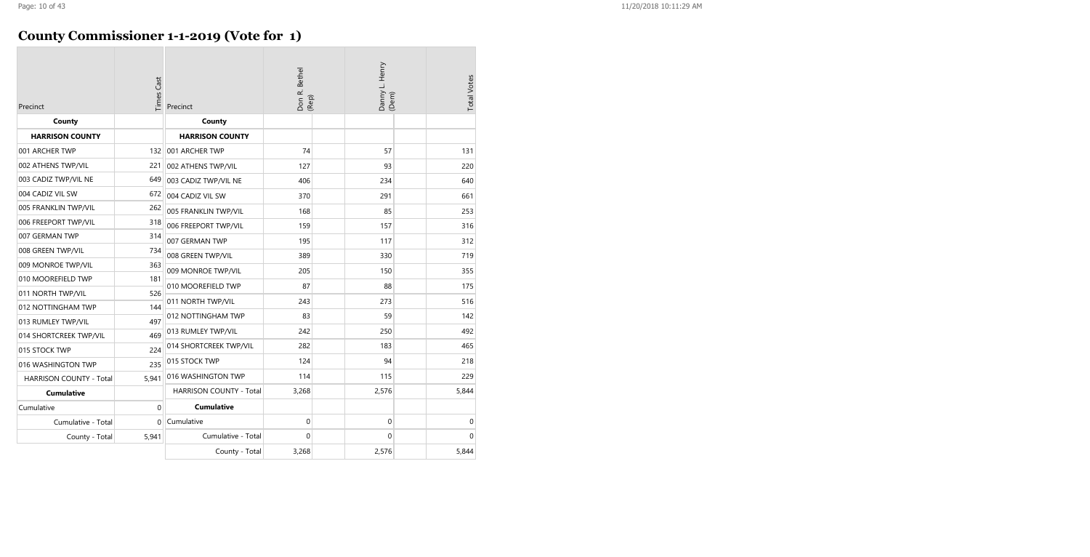### **County Commissioner 1-1-2019 (Vote for 1)**

| Precinct                       | Times Cast  | Precinct                | Don R. Bethel<br>(Rep) |  | Danny L. Henry<br>(Dem) |  | <b>Total Votes</b> |
|--------------------------------|-------------|-------------------------|------------------------|--|-------------------------|--|--------------------|
| County                         |             | County                  |                        |  |                         |  |                    |
| <b>HARRISON COUNTY</b>         |             | <b>HARRISON COUNTY</b>  |                        |  |                         |  |                    |
| 001 ARCHER TWP                 |             | 132 001 ARCHER TWP      | 74                     |  | 57                      |  | 131                |
| 002 ATHENS TWP/VIL             | 221         | 002 ATHENS TWP/VIL      | 127                    |  | 93                      |  | 220                |
| 003 CADIZ TWP/VIL NE           | 649         | 003 CADIZ TWP/VIL NE    | 406                    |  | 234                     |  | 640                |
| 004 CADIZ VIL SW               | 672         | 004 CADIZ VIL SW        | 370                    |  | 291                     |  | 661                |
| 005 FRANKLIN TWP/VIL           | 262         | 005 FRANKLIN TWP/VIL    | 168                    |  | 85                      |  | 253                |
| 006 FREEPORT TWP/VIL           | 318         | 006 FREEPORT TWP/VIL    | 159                    |  | 157                     |  | 316                |
| 007 GERMAN TWP                 | 314         | 007 GERMAN TWP          | 195                    |  | 117                     |  | 312                |
| 008 GREEN TWP/VIL              | 734         | 008 GREEN TWP/VIL       | 389                    |  | 330                     |  | 719                |
| 009 MONROE TWP/VIL             | 363         | 009 MONROE TWP/VIL      | 205                    |  | 150                     |  | 355                |
| 010 MOOREFIELD TWP             | 181         | 010 MOOREFIELD TWP      | 87                     |  | 88                      |  | 175                |
| 011 NORTH TWP/VIL              | 526         |                         |                        |  |                         |  |                    |
| 012 NOTTINGHAM TWP             | 144         | 011 NORTH TWP/VIL       | 243                    |  | 273                     |  | 516                |
| 013 RUMLEY TWP/VIL             | 497         | 012 NOTTINGHAM TWP      | 83                     |  | 59                      |  | 142                |
| 014 SHORTCREEK TWP/VIL         | 469         | 013 RUMLEY TWP/VIL      | 242                    |  | 250                     |  | 492                |
| 015 STOCK TWP                  | 224         | 014 SHORTCREEK TWP/VIL  | 282                    |  | 183                     |  | 465                |
| 016 WASHINGTON TWP             | 235         | 015 STOCK TWP           | 124                    |  | 94                      |  | 218                |
| <b>HARRISON COUNTY - Total</b> | 5,941       | 016 WASHINGTON TWP      | 114                    |  | 115                     |  | 229                |
| <b>Cumulative</b>              |             | HARRISON COUNTY - Total | 3,268                  |  | 2,576                   |  | 5,844              |
| Cumulative                     | $\mathbf 0$ | <b>Cumulative</b>       |                        |  |                         |  |                    |
| Cumulative - Total             | $\Omega$    | Cumulative              | $\pmb{0}$              |  | $\mathbf 0$             |  | $\mathbf 0$        |
| County - Total                 | 5,941       | Cumulative - Total      | 0                      |  | $\mathbf{0}$            |  | $\Omega$           |
|                                |             | County - Total          | 3,268                  |  | 2,576                   |  | 5,844              |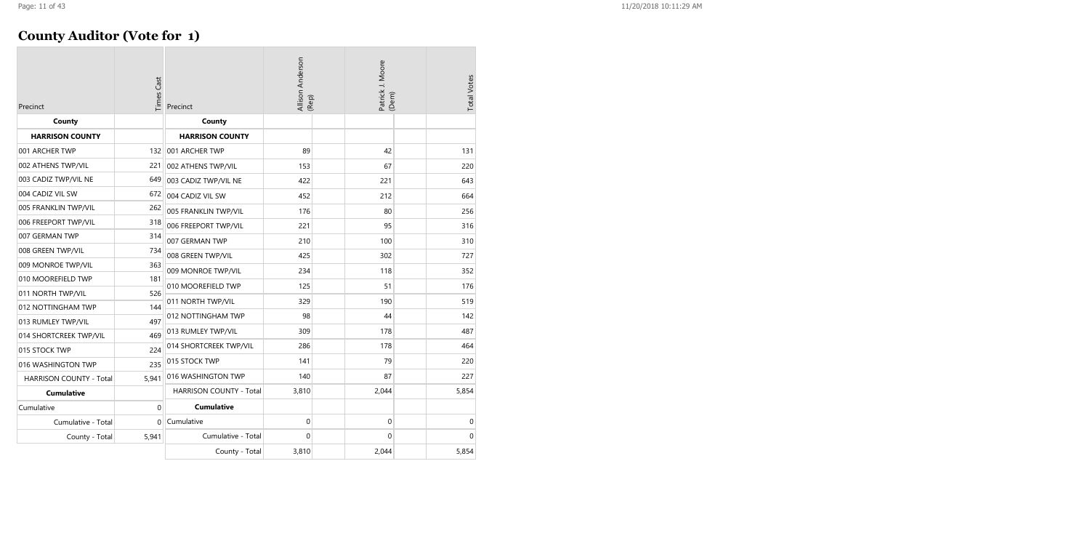| Precinct                       | Times Cast | Allison Anderson<br>(Rep)<br>Precinct |       | Patrick J. Moore<br>(Dem) |          | <b>Total Votes</b> |
|--------------------------------|------------|---------------------------------------|-------|---------------------------|----------|--------------------|
| County                         |            | County                                |       |                           |          |                    |
| <b>HARRISON COUNTY</b>         |            | <b>HARRISON COUNTY</b>                |       |                           |          |                    |
| 001 ARCHER TWP                 | 132        | 001 ARCHER TWP                        | 89    |                           | 42       | 131                |
| 002 ATHENS TWP/VIL             | 221        | 002 ATHENS TWP/VIL                    | 153   |                           | 67       | 220                |
| 003 CADIZ TWP/VIL NE           | 649        | 003 CADIZ TWP/VIL NE                  | 422   |                           | 221      | 643                |
| 004 CADIZ VIL SW               | 672        | 004 CADIZ VIL SW                      | 452   |                           | 212      | 664                |
| 005 FRANKLIN TWP/VIL           | 262        | 005 FRANKLIN TWP/VIL                  | 176   |                           | 80       | 256                |
| 006 FREEPORT TWP/VIL           | 318        | 006 FREEPORT TWP/VIL                  | 221   |                           | 95       | 316                |
| 007 GERMAN TWP                 | 314        | 007 GERMAN TWP                        | 210   |                           | 100      | 310                |
| 008 GREEN TWP/VIL              | 734        | 008 GREEN TWP/VIL                     | 425   |                           | 302      | 727                |
| 009 MONROE TWP/VIL             | 363        | 009 MONROE TWP/VIL                    | 234   |                           | 118      | 352                |
| 010 MOOREFIELD TWP             | 181        | 010 MOOREFIELD TWP                    | 125   |                           | 51       | 176                |
| 011 NORTH TWP/VIL              | 526        |                                       |       |                           | 190      |                    |
| 012 NOTTINGHAM TWP             | 144        | 011 NORTH TWP/VIL                     | 329   |                           |          | 519                |
| 013 RUMLEY TWP/VIL             | 497        | 012 NOTTINGHAM TWP                    | 98    |                           | 44       | 142                |
| 014 SHORTCREEK TWP/VIL         | 469        | 013 RUMLEY TWP/VIL                    | 309   |                           | 178      | 487                |
| 015 STOCK TWP                  | 224        | 014 SHORTCREEK TWP/VIL                | 286   |                           | 178      | 464                |
| 016 WASHINGTON TWP             | 235        | 015 STOCK TWP                         | 141   |                           | 79       | 220                |
| <b>HARRISON COUNTY - Total</b> | 5.941      | 016 WASHINGTON TWP                    | 140   |                           | 87       | 227                |
| <b>Cumulative</b>              |            | <b>HARRISON COUNTY - Total</b>        | 3,810 |                           | 2,044    | 5,854              |
| Cumulative                     | $\Omega$   | <b>Cumulative</b>                     |       |                           |          |                    |
| Cumulative - Total             | $\Omega$   | Cumulative                            | 0     |                           | 0        | 0                  |
| County - Total                 | 5,941      | Cumulative - Total                    | 0     |                           | $\Omega$ | $\mathbf{0}$       |
|                                |            | County - Total                        | 3,810 |                           | 2,044    | 5,854              |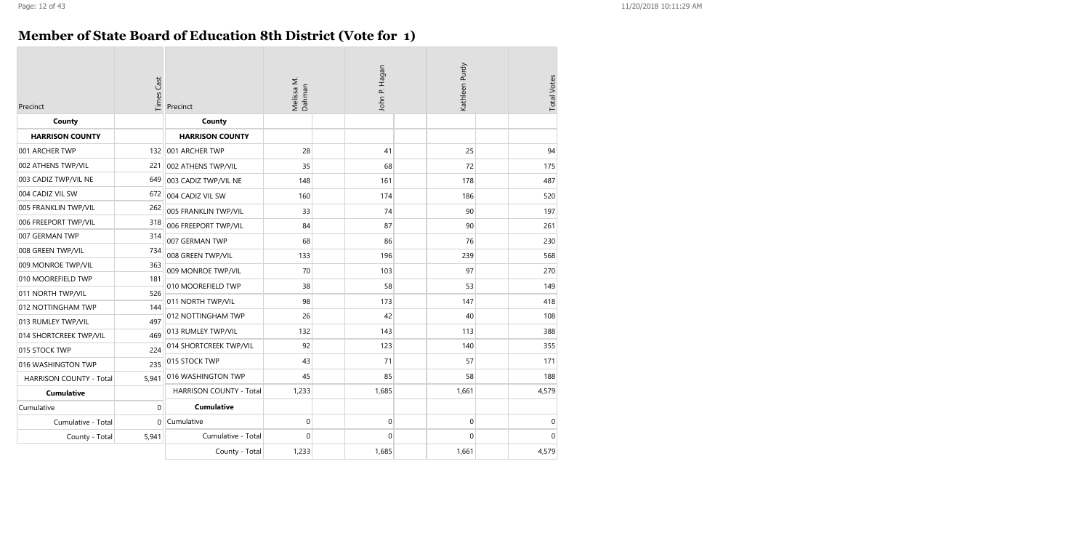### **Member of State Board of Education 8th District (Vote for 1)**

| Precinct                       | <b>Times Cast</b> | Precinct                | Melissa M.<br>Dahman | John P. Hagan | Kathleen Purdy | <b>Total Votes</b> |
|--------------------------------|-------------------|-------------------------|----------------------|---------------|----------------|--------------------|
| County                         |                   | County                  |                      |               |                |                    |
| <b>HARRISON COUNTY</b>         |                   | <b>HARRISON COUNTY</b>  |                      |               |                |                    |
| 001 ARCHER TWP                 | 132               | 001 ARCHER TWP          | 28                   | 41            | 25             | 94                 |
| 002 ATHENS TWP/VIL             | 221               | 002 ATHENS TWP/VIL      | 35                   | 68            | 72             | 175                |
| 003 CADIZ TWP/VIL NE           | 649               | 003 CADIZ TWP/VIL NE    | 148                  | 161           | 178            | 487                |
| 004 CADIZ VIL SW               | 672               | 004 CADIZ VIL SW        | 160                  | 174           | 186            | 520                |
| 005 FRANKLIN TWP/VIL           | 262               | 005 FRANKLIN TWP/VIL    | 33                   | 74            | 90             | 197                |
| 006 FREEPORT TWP/VIL           | 318               | 006 FREEPORT TWP/VIL    | 84                   | 87            | 90             | 261                |
| 007 GERMAN TWP                 | 314               | 007 GERMAN TWP          | 68                   | 86            | 76             | 230                |
| 008 GREEN TWP/VIL              | 734               | 008 GREEN TWP/VIL       | 133                  | 196           | 239            | 568                |
| 009 MONROE TWP/VIL             | 363               | 009 MONROE TWP/VIL      | 70                   | 103           | 97             | 270                |
| 010 MOOREFIELD TWP             | 181               | 010 MOOREFIELD TWP      | 38                   | 58            | 53             | 149                |
| 011 NORTH TWP/VIL              | 526               | 011 NORTH TWP/VIL       | 98                   | 173           | 147            | 418                |
| 012 NOTTINGHAM TWP             | 144               |                         |                      |               |                |                    |
| 013 RUMLEY TWP/VIL             | 497               | 012 NOTTINGHAM TWP      | 26                   | 42            | 40             | 108                |
| 014 SHORTCREEK TWP/VIL         | 469               | 013 RUMLEY TWP/VIL      | 132                  | 143           | 113            | 388                |
| 015 STOCK TWP                  | 224               | 014 SHORTCREEK TWP/VIL  | 92                   | 123           | 140            | 355                |
| 016 WASHINGTON TWP             | 235               | 015 STOCK TWP           | 43                   | 71            | 57             | 171                |
| <b>HARRISON COUNTY - Total</b> | 5,941             | 016 WASHINGTON TWP      | 45                   | 85            | 58             | 188                |
| <b>Cumulative</b>              |                   | HARRISON COUNTY - Total | 1,233                | 1,685         | 1,661          | 4,579              |
| Cumulative                     | $\Omega$          | <b>Cumulative</b>       |                      |               |                |                    |
| Cumulative - Total             | $\Omega$          | Cumulative              | $\mathbf 0$          | $\pmb{0}$     | $\pmb{0}$      | 0                  |
| County - Total                 | 5,941             | Cumulative - Total      | 0                    | $\mathbf 0$   | 0              | $\mathbf 0$        |
|                                |                   | County - Total          | 1,233                | 1,685         | 1,661          | 4,579              |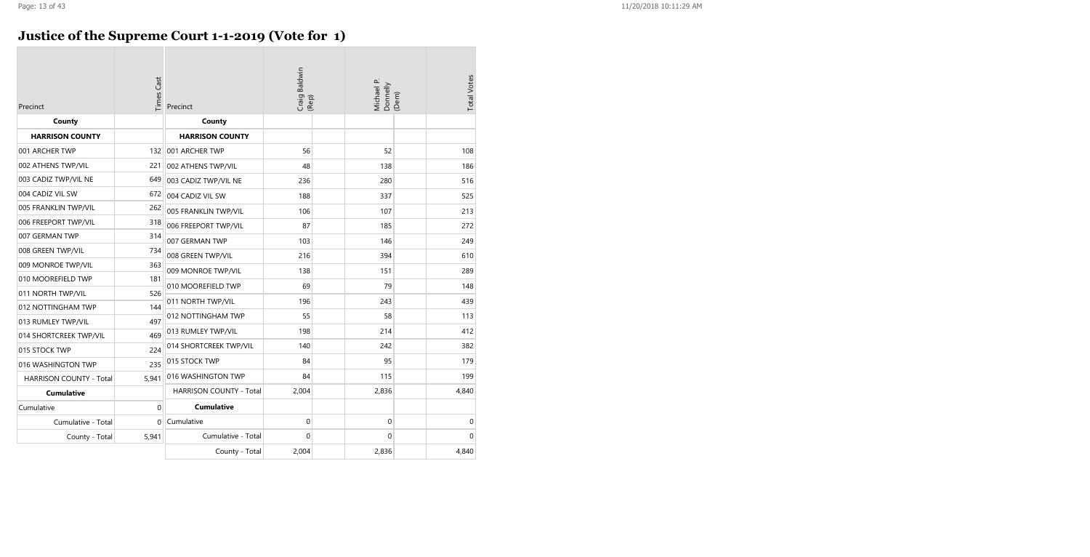# **Justice of the Supreme Court 1-1-2019 (Vote for 1)**

| Precinct                       | Times Cast   | Precinct                | Craig Baldwin<br>(Rep) | Michael P.<br>Donnelly<br>(Dem) |  | <b>Total Votes</b> |
|--------------------------------|--------------|-------------------------|------------------------|---------------------------------|--|--------------------|
| County                         |              | County                  |                        |                                 |  |                    |
| <b>HARRISON COUNTY</b>         |              | <b>HARRISON COUNTY</b>  |                        |                                 |  |                    |
| 001 ARCHER TWP                 | 132          | 001 ARCHER TWP          | 56                     | 52                              |  | 108                |
| 002 ATHENS TWP/VIL             | 221          | 002 ATHENS TWP/VIL      | 48                     | 138                             |  | 186                |
| 003 CADIZ TWP/VIL NE           | 649          | 003 CADIZ TWP/VIL NE    | 236                    | 280                             |  | 516                |
| 004 CADIZ VIL SW               | 672          | 004 CADIZ VIL SW        | 188                    | 337                             |  | 525                |
| 005 FRANKLIN TWP/VIL           | 262          | 005 FRANKLIN TWP/VIL    | 106                    | 107                             |  | 213                |
| 006 FREEPORT TWP/VIL           | 318          | 006 FREEPORT TWP/VIL    | 87                     | 185                             |  | 272                |
| 007 GERMAN TWP                 | 314          | 007 GERMAN TWP          | 103                    | 146                             |  | 249                |
| 008 GREEN TWP/VIL              | 734          | 008 GREEN TWP/VIL       | 216                    | 394                             |  | 610                |
| 009 MONROE TWP/VIL             | 363          | 009 MONROE TWP/VIL      | 138                    | 151                             |  | 289                |
| 010 MOOREFIELD TWP             | 181          | 010 MOOREFIELD TWP      | 69                     | 79                              |  | 148                |
| 011 NORTH TWP/VIL              | 526          |                         | 196                    | 243                             |  | 439                |
| 012 NOTTINGHAM TWP             | 144          | 011 NORTH TWP/VIL       |                        |                                 |  |                    |
| 013 RUMLEY TWP/VIL             | 497          | 012 NOTTINGHAM TWP      | 55                     | 58                              |  | 113                |
| 014 SHORTCREEK TWP/VIL         | 469          | 013 RUMLEY TWP/VIL      | 198                    | 214                             |  | 412                |
| 015 STOCK TWP                  | 224          | 014 SHORTCREEK TWP/VIL  | 140                    | 242                             |  | 382                |
| 016 WASHINGTON TWP             | 235          | 015 STOCK TWP           | 84                     | 95                              |  | 179                |
| <b>HARRISON COUNTY - Total</b> | 5,941        | 016 WASHINGTON TWP      | 84                     | 115                             |  | 199                |
| <b>Cumulative</b>              |              | HARRISON COUNTY - Total | 2,004                  | 2,836                           |  | 4,840              |
| Cumulative                     | 0            | <b>Cumulative</b>       |                        |                                 |  |                    |
| Cumulative - Total             | $\mathbf{0}$ | Cumulative              | 0                      | $\boldsymbol{0}$                |  | $\mathbf 0$        |
| County - Total                 | 5,941        | Cumulative - Total      | $\Omega$               | $\Omega$                        |  | $\Omega$           |
|                                |              | County - Total          | 2,004                  | 2,836                           |  | 4,840              |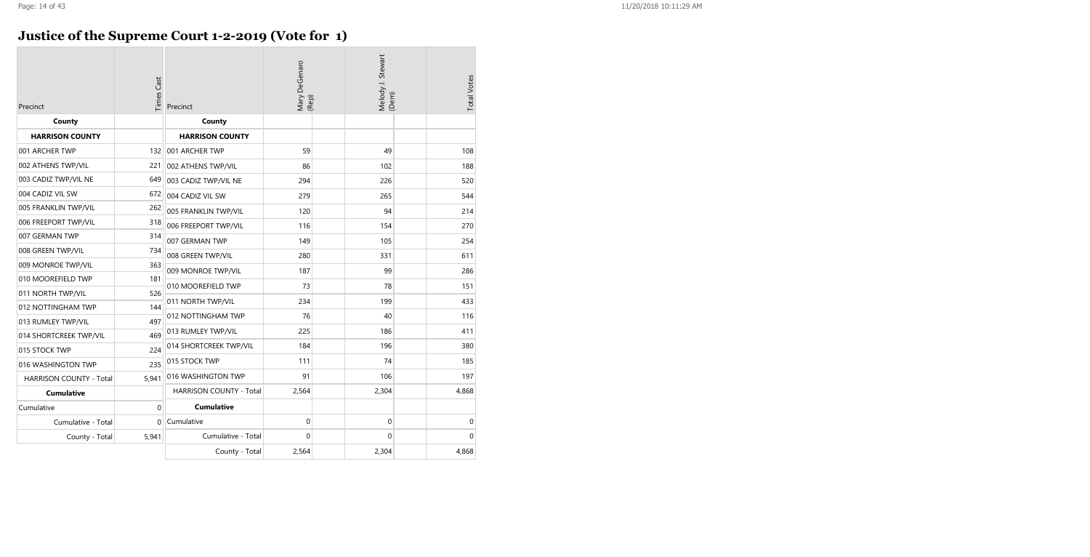# **Justice of the Supreme Court 1-2-2019 (Vote for 1)**

| Precinct                       | Mary DeGenaro<br>(Rep)<br><b>Times Cast</b><br>Precinct |                                | Melody J. Stewart<br>(Dem) |                | <b>Total Votes</b> |              |
|--------------------------------|---------------------------------------------------------|--------------------------------|----------------------------|----------------|--------------------|--------------|
| County                         |                                                         | County                         |                            |                |                    |              |
| <b>HARRISON COUNTY</b>         |                                                         | <b>HARRISON COUNTY</b>         |                            |                |                    |              |
| 001 ARCHER TWP                 | 132                                                     | 001 ARCHER TWP                 | 59                         | 49             |                    | 108          |
| 002 ATHENS TWP/VIL             | 221                                                     | 002 ATHENS TWP/VIL             | 86                         | 102            |                    | 188          |
| 003 CADIZ TWP/VIL NE           | 649                                                     | 003 CADIZ TWP/VIL NE           | 294                        | 226            |                    | 520          |
| 004 CADIZ VIL SW               | 672                                                     | 004 CADIZ VIL SW               | 279                        | 265            |                    | 544          |
| 005 FRANKLIN TWP/VIL           | 262                                                     | 005 FRANKLIN TWP/VIL           | 120                        | 94             |                    | 214          |
| 006 FREEPORT TWP/VIL           | 318                                                     | 006 FREEPORT TWP/VIL           | 116                        | 154            |                    | 270          |
| 007 GERMAN TWP                 | 314                                                     | 007 GERMAN TWP                 | 149                        | 105            |                    | 254          |
| 008 GREEN TWP/VIL              | 734                                                     | 008 GREEN TWP/VIL              | 280                        | 331            |                    | 611          |
| 009 MONROE TWP/VIL             | 363                                                     | 009 MONROE TWP/VIL             | 187                        | 99             |                    | 286          |
| 010 MOOREFIELD TWP             | 181                                                     | 010 MOOREFIELD TWP             | 73                         | 78             |                    |              |
| 011 NORTH TWP/VIL              | 526                                                     |                                |                            |                |                    | 151          |
| 012 NOTTINGHAM TWP             | 144                                                     | 011 NORTH TWP/VIL              | 234                        | 199            |                    | 433          |
| 013 RUMLEY TWP/VIL             | 497                                                     | 012 NOTTINGHAM TWP             | 76                         | 40             |                    | 116          |
| 014 SHORTCREEK TWP/VIL         | 469                                                     | 013 RUMLEY TWP/VIL             | 225                        | 186            |                    | 411          |
| 015 STOCK TWP                  | 224                                                     | 014 SHORTCREEK TWP/VIL         | 184                        | 196            |                    | 380          |
| 016 WASHINGTON TWP             | 235                                                     | 015 STOCK TWP                  | 111                        | 74             |                    | 185          |
| <b>HARRISON COUNTY - Total</b> | 5,941                                                   | 016 WASHINGTON TWP             | 91                         | 106            |                    | 197          |
| <b>Cumulative</b>              |                                                         | <b>HARRISON COUNTY - Total</b> | 2,564                      | 2,304          |                    | 4,868        |
| Cumulative                     | $\mathbf 0$                                             | <b>Cumulative</b>              |                            |                |                    |              |
| Cumulative - Total             | 0                                                       | Cumulative                     | $\mathbf 0$                | $\overline{0}$ |                    | 0            |
| County - Total                 | 5,941                                                   | Cumulative - Total             | 0                          | 0              |                    | $\mathbf{0}$ |
|                                |                                                         | County - Total                 | 2,564                      | 2,304          |                    | 4,868        |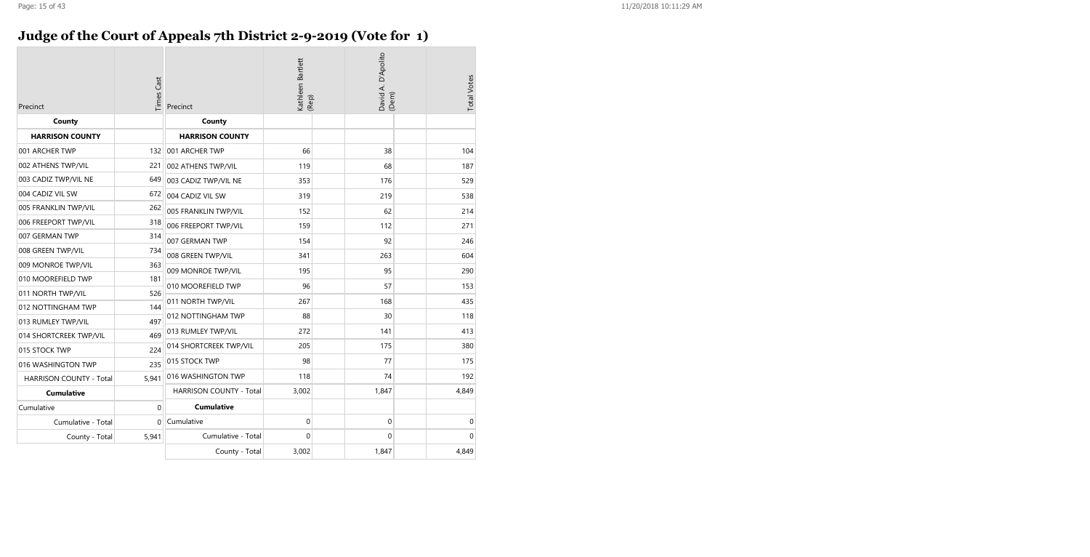# **Judge of the Court of Appeals 7th District 2-9-2019 (Vote for 1)**

| Precinct                       | Times Cast | Precinct                       | Kathleen Bartlett<br>(Rep) | David A. D'Apolito<br>(Dem) |  | <b>Total Votes</b> |
|--------------------------------|------------|--------------------------------|----------------------------|-----------------------------|--|--------------------|
| County                         |            | County                         |                            |                             |  |                    |
| <b>HARRISON COUNTY</b>         |            | <b>HARRISON COUNTY</b>         |                            |                             |  |                    |
| 001 ARCHER TWP                 | 132        | 001 ARCHER TWP                 | 66                         | 38                          |  | 104                |
| 002 ATHENS TWP/VIL             | 221        | 002 ATHENS TWP/VIL             | 119                        | 68                          |  | 187                |
| 003 CADIZ TWP/VIL NE           | 649        | 003 CADIZ TWP/VIL NE           | 353                        | 176                         |  | 529                |
| 004 CADIZ VIL SW               | 672        | 004 CADIZ VIL SW               | 319                        | 219                         |  | 538                |
| 005 FRANKLIN TWP/VIL           | 262        | 005 FRANKLIN TWP/VIL           | 152                        | 62                          |  | 214                |
| 006 FREEPORT TWP/VIL           | 318        | 006 FREEPORT TWP/VIL           | 159                        | 112                         |  | 271                |
| 007 GERMAN TWP                 | 314        | 007 GERMAN TWP                 | 154                        | 92                          |  | 246                |
| 008 GREEN TWP/VIL              | 734        | 008 GREEN TWP/VIL              | 341                        | 263                         |  | 604                |
| 009 MONROE TWP/VIL             | 363        | 009 MONROE TWP/VIL             | 195                        | 95                          |  | 290                |
| 010 MOOREFIELD TWP             | 181        | 010 MOOREFIELD TWP             | 96                         | 57                          |  | 153                |
| 011 NORTH TWP/VIL              | 526        |                                | 267                        | 168                         |  | 435                |
| 012 NOTTINGHAM TWP             | 144        | 011 NORTH TWP/VIL              |                            |                             |  |                    |
| 013 RUMLEY TWP/VIL             | 497        | 012 NOTTINGHAM TWP             | 88                         | 30                          |  | 118                |
| 014 SHORTCREEK TWP/VIL         | 469        | 013 RUMLEY TWP/VIL             | 272                        | 141                         |  | 413                |
| 015 STOCK TWP                  | 224        | 014 SHORTCREEK TWP/VIL         | 205                        | 175                         |  | 380                |
| 016 WASHINGTON TWP             | 235        | 015 STOCK TWP                  | 98                         | 77                          |  | 175                |
| <b>HARRISON COUNTY - Total</b> | 5,941      | 016 WASHINGTON TWP             | 118                        | 74                          |  | 192                |
| <b>Cumulative</b>              |            | <b>HARRISON COUNTY - Total</b> | 3,002                      | 1,847                       |  | 4,849              |
| Cumulative                     | 0          | <b>Cumulative</b>              |                            |                             |  |                    |
| Cumulative - Total             | 0          | Cumulative                     | 0                          | 0                           |  | 0                  |
| County - Total                 | 5,941      | Cumulative - Total             | 0                          | 0                           |  | $\mathbf 0$        |
|                                |            | County - Total                 | 3,002                      | 1,847                       |  | 4,849              |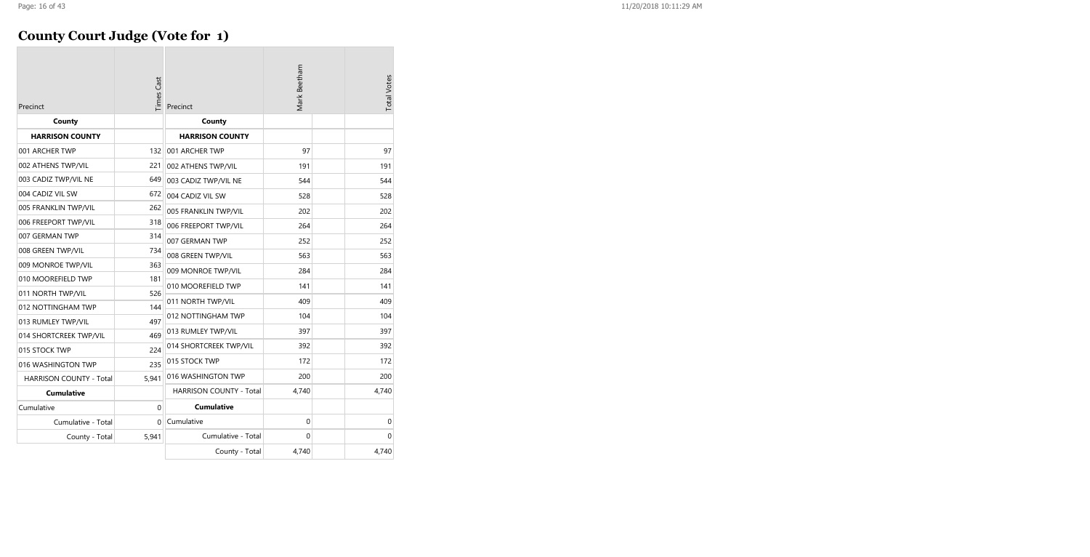# **County Court Judge (Vote for 1)**

| Precinct                       | <b>Times Cast</b> | Precinct                       | Mark Beetham | <b>Total Votes</b> |
|--------------------------------|-------------------|--------------------------------|--------------|--------------------|
| County                         |                   | County                         |              |                    |
| <b>HARRISON COUNTY</b>         |                   | <b>HARRISON COUNTY</b>         |              |                    |
| 001 ARCHER TWP                 | 132               | 001 ARCHER TWP                 | 97           | 97                 |
| 002 ATHENS TWP/VIL             | 221               | 002 ATHENS TWP/VIL             | 191          | 191                |
| 003 CADIZ TWP/VIL NE           | 649               | 003 CADIZ TWP/VIL NE           | 544          | 544                |
| 004 CADIZ VIL SW               | 672               | 004 CADIZ VIL SW               | 528          | 528                |
| 005 FRANKLIN TWP/VIL           | 262               | 005 FRANKLIN TWP/VIL           | 202          | 202                |
| 006 FREEPORT TWP/VIL           | 318               | 006 FREEPORT TWP/VIL           | 264          | 264                |
| 007 GERMAN TWP                 | 314               | 007 GERMAN TWP                 | 252          | 252                |
| 008 GREEN TWP/VIL              | 734               | 008 GREEN TWP/VIL              | 563          | 563                |
| 009 MONROE TWP/VIL             | 363               | 009 MONROE TWP/VIL             | 284          | 284                |
| 010 MOOREFIELD TWP             | 181               |                                | 141          | 141                |
| 011 NORTH TWP/VIL              | 526               | 010 MOOREFIELD TWP             |              |                    |
| 012 NOTTINGHAM TWP             | 144               | 011 NORTH TWP/VIL              | 409          | 409                |
| 013 RUMLEY TWP/VIL             | 497               | 012 NOTTINGHAM TWP             | 104          | 104                |
| 014 SHORTCREEK TWP/VIL         | 469               | 013 RUMLEY TWP/VIL             | 397          | 397                |
| 015 STOCK TWP                  | 224               | 014 SHORTCREEK TWP/VIL         | 392          | 392                |
| 016 WASHINGTON TWP             | 235               | 015 STOCK TWP                  | 172          | 172                |
| <b>HARRISON COUNTY - Total</b> | 5.941             | 016 WASHINGTON TWP             | 200          | 200                |
| <b>Cumulative</b>              |                   | <b>HARRISON COUNTY - Total</b> | 4,740        | 4,740              |
| Cumulative                     | $\Omega$          | <b>Cumulative</b>              |              |                    |
| Cumulative - Total             | $\Omega$          | Cumulative                     | $\mathbf 0$  | $\mathbf 0$        |
| County - Total                 | 5,941             | Cumulative - Total             | $\Omega$     | $\Omega$           |
|                                |                   | County - Total                 | 4,740        | 4,740              |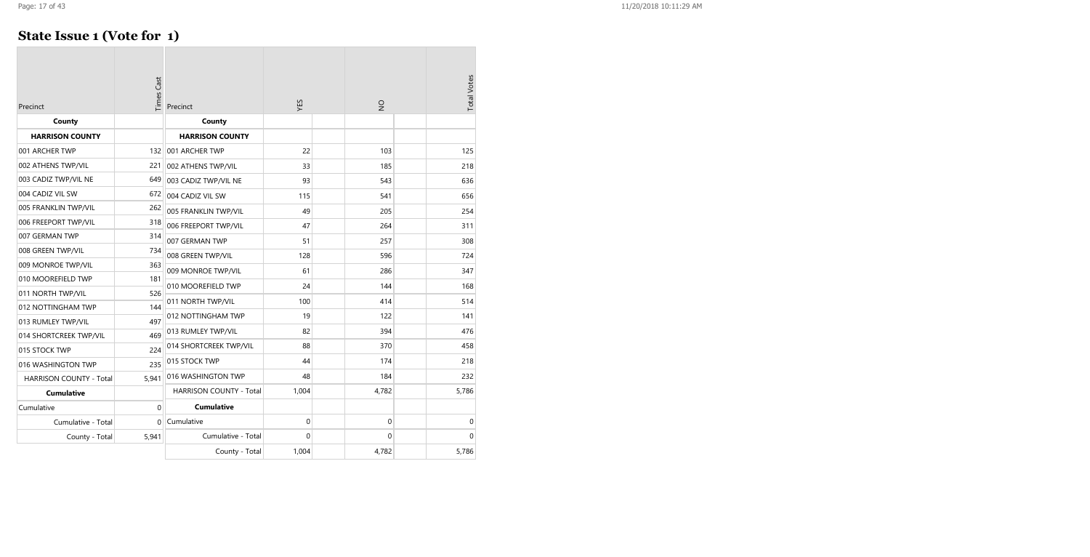### **State Issue 1 (Vote for 1)**

| Precinct                       | Times Cast   | Precinct                       | XES      | $\frac{1}{2}$ | <b>Total Votes</b> |
|--------------------------------|--------------|--------------------------------|----------|---------------|--------------------|
| County                         |              | County                         |          |               |                    |
| <b>HARRISON COUNTY</b>         |              | <b>HARRISON COUNTY</b>         |          |               |                    |
| 001 ARCHER TWP                 | 132          | 001 ARCHER TWP                 | 22       | 103           | 125                |
| 002 ATHENS TWP/VIL             | 221          | 002 ATHENS TWP/VIL             | 33       | 185           | 218                |
| 003 CADIZ TWP/VIL NE           | 649          | 003 CADIZ TWP/VIL NE           | 93       | 543           | 636                |
| 004 CADIZ VIL SW               | 672          | 004 CADIZ VIL SW               | 115      | 541           | 656                |
| 005 FRANKLIN TWP/VIL           | 262          | 005 FRANKLIN TWP/VIL           | 49       | 205           | 254                |
| 006 FREEPORT TWP/VIL           | 318          | 006 FREEPORT TWP/VIL           | 47       | 264           | 311                |
| 007 GERMAN TWP                 | 314          | 007 GERMAN TWP                 | 51       | 257           | 308                |
| 008 GREEN TWP/VIL              | 734          | 008 GREEN TWP/VIL              | 128      | 596           | 724                |
| 009 MONROE TWP/VIL             | 363          | 009 MONROE TWP/VIL             | 61       | 286           | 347                |
| 010 MOOREFIELD TWP             | 181          | 010 MOOREFIELD TWP             | 24       | 144           | 168                |
| 011 NORTH TWP/VIL              | 526          |                                | 100      |               |                    |
| 012 NOTTINGHAM TWP             | 144          | 011 NORTH TWP/VIL              |          | 414           | 514                |
| 013 RUMLEY TWP/VIL             | 497          | 012 NOTTINGHAM TWP             | 19       | 122           | 141                |
| 014 SHORTCREEK TWP/VIL         | 469          | 013 RUMLEY TWP/VIL             | 82       | 394           | 476                |
| 015 STOCK TWP                  | 224          | 014 SHORTCREEK TWP/VIL         | 88       | 370           | 458                |
| 016 WASHINGTON TWP             | 235          | 015 STOCK TWP                  | 44       | 174           | 218                |
| <b>HARRISON COUNTY - Total</b> | 5,941        | 016 WASHINGTON TWP             | 48       | 184           | 232                |
| <b>Cumulative</b>              |              | <b>HARRISON COUNTY - Total</b> | 1,004    | 4,782         | 5,786              |
| Cumulative                     | $\mathbf{0}$ | <b>Cumulative</b>              |          |               |                    |
| Cumulative - Total             | $\Omega$     | Cumulative                     | 0        | 0             | 0                  |
| County - Total                 | 5,941        | Cumulative - Total             | $\Omega$ | 0             | $\Omega$           |
|                                |              | County - Total                 | 1,004    | 4,782         | 5,786              |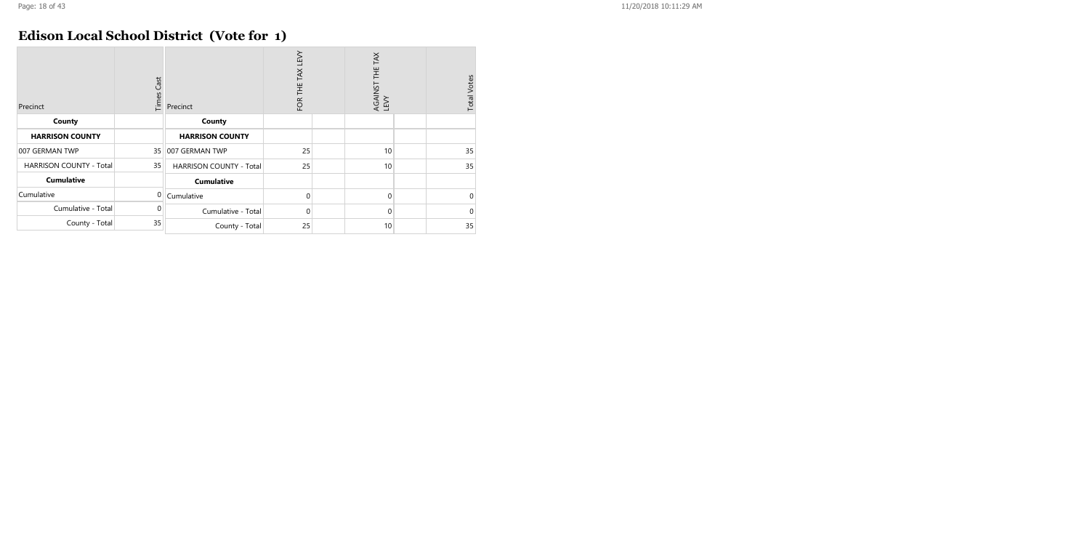### **Edison Local School District (Vote for 1)**

| Precinct                       | Cast<br>Times | Precinct                       | FOR THE TAX LEVY | AGAINST THE TAX<br>LEVY | <b>Total Votes</b> |
|--------------------------------|---------------|--------------------------------|------------------|-------------------------|--------------------|
| County                         |               | County                         |                  |                         |                    |
| <b>HARRISON COUNTY</b>         |               | <b>HARRISON COUNTY</b>         |                  |                         |                    |
| 007 GERMAN TWP                 | 35            | 007 GERMAN TWP                 | 25               | 10                      | 35                 |
| <b>HARRISON COUNTY - Total</b> | 35            | <b>HARRISON COUNTY - Total</b> | 25               | 10                      | 35                 |
| <b>Cumulative</b>              |               | <b>Cumulative</b>              |                  |                         |                    |
| Cumulative                     | 0             | Cumulative                     | $\Omega$         | $\Omega$                | $\mathbf 0$        |
| Cumulative - Total             | 0             | Cumulative - Total             | $\Omega$         | 0                       | $\Omega$           |
| County - Total                 | 35            | County - Total                 | 25               | 10                      | 35                 |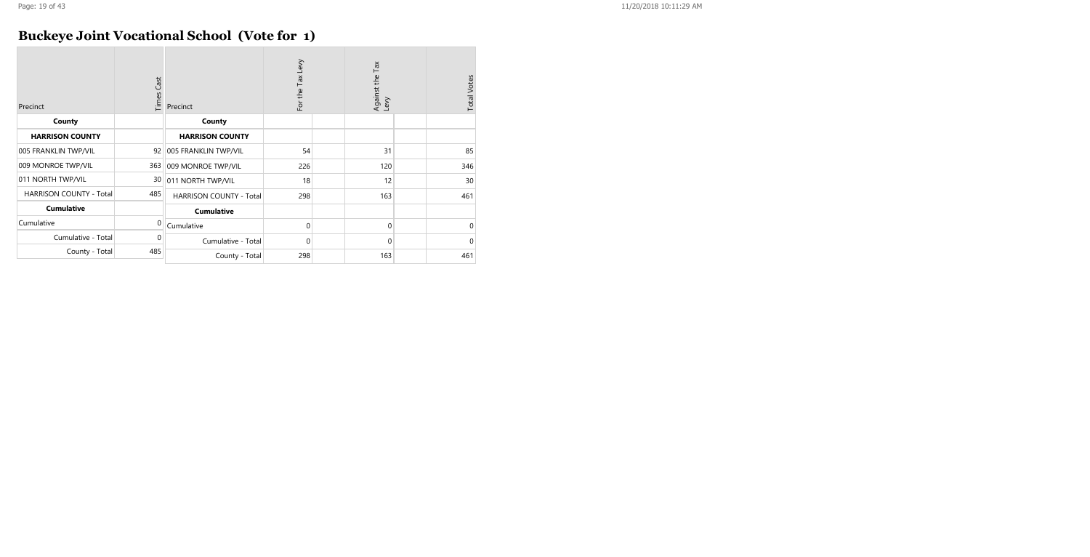### **Buckeye Joint Vocational School (Vote for 1)**

| Precinct                       | Times Cast | Precinct                       | For the Tax Levy | Against the Tax<br>Levy | <b>Total Votes</b> |
|--------------------------------|------------|--------------------------------|------------------|-------------------------|--------------------|
| County                         |            | County                         |                  |                         |                    |
| <b>HARRISON COUNTY</b>         |            | <b>HARRISON COUNTY</b>         |                  |                         |                    |
| 005 FRANKLIN TWP/VIL           | 92         | 005 FRANKLIN TWP/VIL           | 54               | 31                      | 85                 |
| 009 MONROE TWP/VIL             | 363        | 009 MONROE TWP/VIL             | 226              | 120                     | 346                |
| 011 NORTH TWP/VIL              | 30         | 011 NORTH TWP/VIL              | 18               | 12                      | 30                 |
| <b>HARRISON COUNTY - Total</b> | 485        | <b>HARRISON COUNTY - Total</b> | 298              | 163                     | 461                |
| <b>Cumulative</b>              |            | <b>Cumulative</b>              |                  |                         |                    |
| Cumulative                     | $\Omega$   | Cumulative                     | $\Omega$         | $\mathbf 0$             | 0                  |
| Cumulative - Total             | 0          | Cumulative - Total             | $\mathbf 0$      | $\mathbf 0$             | 0                  |
| County - Total                 | 485        | County - Total                 | 298              | 163                     | 461                |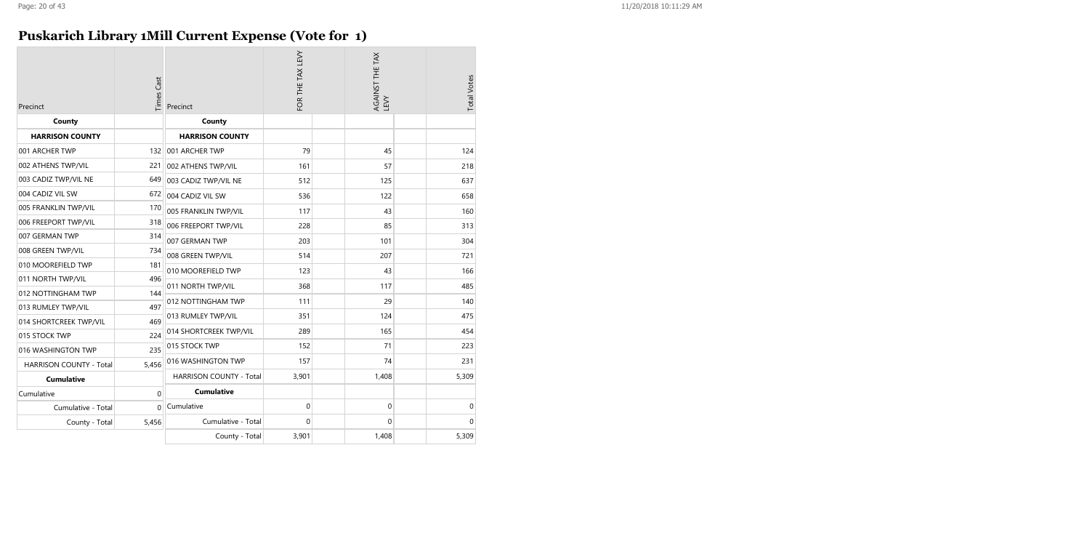# **Puskarich Library 1Mill Current Expense (Vote for 1)**

| Precinct                | <b>Times Cast</b> | Precinct                | FOR THE TAX LEVY | AGAINST THE TAX<br>LEVY | <b>Total Votes</b> |
|-------------------------|-------------------|-------------------------|------------------|-------------------------|--------------------|
| County                  |                   | County                  |                  |                         |                    |
| <b>HARRISON COUNTY</b>  |                   | <b>HARRISON COUNTY</b>  |                  |                         |                    |
| 001 ARCHER TWP          | 132               | 001 ARCHER TWP          | 79               | 45                      | 124                |
| 002 ATHENS TWP/VIL      | 221               | 002 ATHENS TWP/VIL      | 161              | 57                      | 218                |
| 003 CADIZ TWP/VIL NE    | 649               | 003 CADIZ TWP/VIL NE    | 512              | 125                     | 637                |
| 004 CADIZ VIL SW        | 672               | 004 CADIZ VIL SW        | 536              | 122                     | 658                |
| 005 FRANKLIN TWP/VIL    | 170               | 005 FRANKLIN TWP/VIL    | 117              | 43                      | 160                |
| 006 FREEPORT TWP/VIL    | 318               | 006 FREEPORT TWP/VIL    | 228              | 85                      | 313                |
| 007 GERMAN TWP          | 314               | 007 GERMAN TWP          | 203              | 101                     | 304                |
| 008 GREEN TWP/VIL       | 734               | 008 GREEN TWP/VIL       | 514              | 207                     | 721                |
| 010 MOOREFIELD TWP      | 181               | 010 MOOREFIELD TWP      | 123              | 43                      | 166                |
| 011 NORTH TWP/VIL       | 496               |                         |                  |                         |                    |
| 012 NOTTINGHAM TWP      | 144               | 011 NORTH TWP/VIL       | 368              | 117                     | 485                |
| 013 RUMLEY TWP/VIL      | 497               | 012 NOTTINGHAM TWP      | 111              | 29                      | 140                |
| 014 SHORTCREEK TWP/VIL  | 469               | 013 RUMLEY TWP/VIL      | 351              | 124                     | 475                |
| 015 STOCK TWP           | 224               | 014 SHORTCREEK TWP/VIL  | 289              | 165                     | 454                |
| 016 WASHINGTON TWP      | 235               | 015 STOCK TWP           | 152              | 71                      | 223                |
| HARRISON COUNTY - Total | 5,456             | 016 WASHINGTON TWP      | 157              | 74                      | 231                |
| <b>Cumulative</b>       |                   | HARRISON COUNTY - Total | 3,901            | 1,408                   | 5,309              |
| Cumulative              | $\Omega$          | <b>Cumulative</b>       |                  |                         |                    |
| Cumulative - Total      | 0                 | Cumulative              | $\pmb{0}$        | 0                       | $\boldsymbol{0}$   |
| County - Total          | 5,456             | Cumulative - Total      | $\Omega$         | 0                       | $\Omega$           |
|                         |                   | County - Total          | 3,901            | 1,408                   | 5,309              |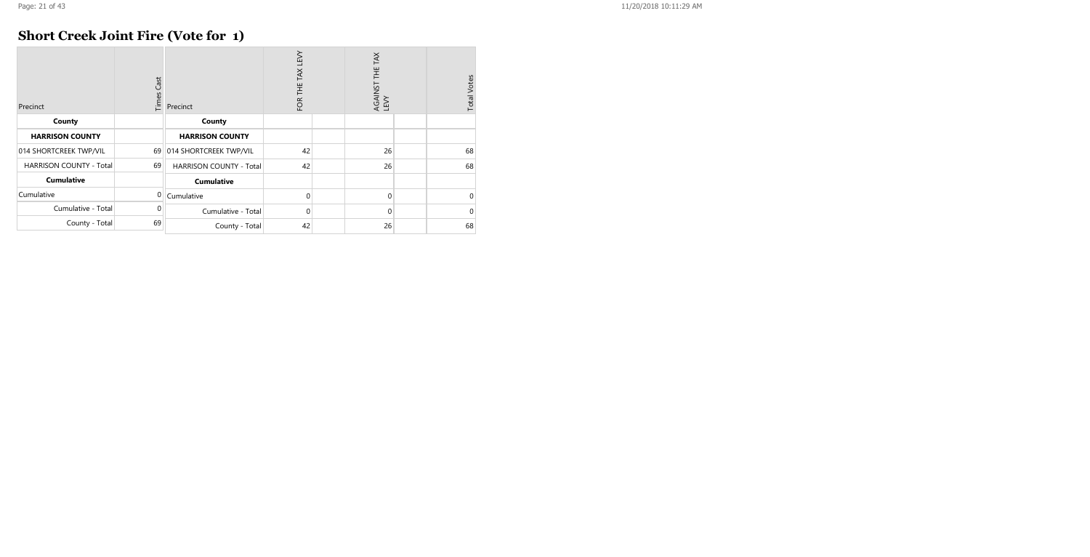### **Short Creek Joint Fire (Vote for 1)**

| Precinct                       | Cast<br>Times | Precinct                       | <b>TEVY</b><br>THE TAX<br>FOR | AGAINST THE TAX<br>LEVY | <b>Total Votes</b> |
|--------------------------------|---------------|--------------------------------|-------------------------------|-------------------------|--------------------|
| County                         |               | County                         |                               |                         |                    |
| <b>HARRISON COUNTY</b>         |               | <b>HARRISON COUNTY</b>         |                               |                         |                    |
| 014 SHORTCREEK TWP/VIL         | 69            | 014 SHORTCREEK TWP/VIL         | 42                            | 26                      | 68                 |
| <b>HARRISON COUNTY - Total</b> | 69            | <b>HARRISON COUNTY - Total</b> | 42                            | 26                      | 68                 |
| <b>Cumulative</b>              |               | <b>Cumulative</b>              |                               |                         |                    |
| Cumulative                     | <sup>0</sup>  | Cumulative                     | $\Omega$                      | $\Omega$                | $\Omega$           |
| Cumulative - Total             | 0             | Cumulative - Total             | $\Omega$                      | $\Omega$                | $\Omega$           |
| County - Total                 | 69            | County - Total                 | 42                            | 26                      | 68                 |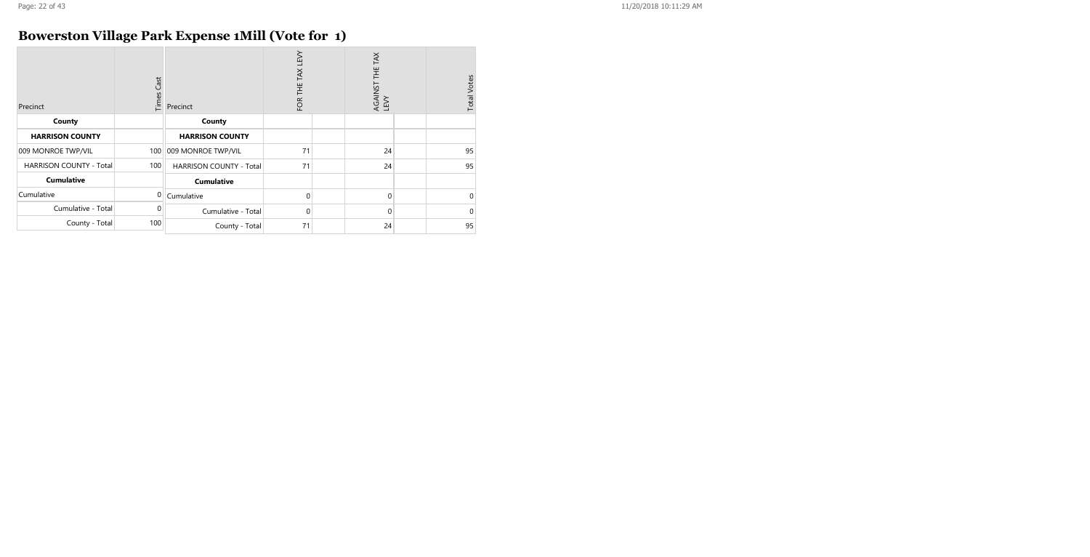# **Bowerston Village Park Expense 1Mill (Vote for 1)**

| Precinct                       | Times Cast | Precinct                       | FOR THE TAX LEVY | TAX<br>-<br>王<br>AGAINST<br>LEVY | <b>Total Votes</b> |
|--------------------------------|------------|--------------------------------|------------------|----------------------------------|--------------------|
| County                         |            | County                         |                  |                                  |                    |
| <b>HARRISON COUNTY</b>         |            | <b>HARRISON COUNTY</b>         |                  |                                  |                    |
| 009 MONROE TWP/VIL             | 100        | 009 MONROE TWP/VIL             | 71               | 24                               | 95                 |
| <b>HARRISON COUNTY - Total</b> | 100        | <b>HARRISON COUNTY - Total</b> | 71               | 24                               | 95                 |
| <b>Cumulative</b>              |            | <b>Cumulative</b>              |                  |                                  |                    |
| Cumulative                     | 0          | Cumulative                     | $\Omega$         | 0                                | $\mathbf 0$        |
| Cumulative - Total             | $\Omega$   | Cumulative - Total             | $\mathbf 0$      | 0                                | $\mathbf 0$        |
| County - Total                 | 100        | County - Total                 | 71               | 24                               | 95                 |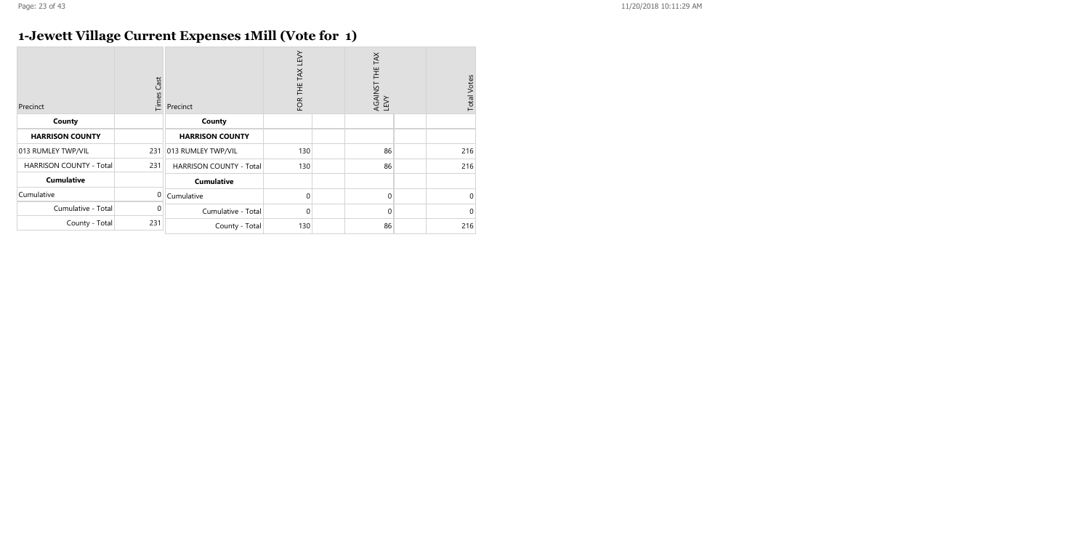# **1-Jewett Village Current Expenses 1Mill (Vote for 1)**

| Precinct                       | <b>Times Cast</b> | Precinct                | FOR THE TAX LEVY | TAX<br>半<br>AGAINST<br>LEVY | <b>Total Votes</b> |
|--------------------------------|-------------------|-------------------------|------------------|-----------------------------|--------------------|
| County                         |                   | County                  |                  |                             |                    |
| <b>HARRISON COUNTY</b>         |                   | <b>HARRISON COUNTY</b>  |                  |                             |                    |
| 013 RUMLEY TWP/VIL             | 231               | 013 RUMLEY TWP/VIL      | 130              | 86                          | 216                |
| <b>HARRISON COUNTY - Total</b> | 231               | HARRISON COUNTY - Total | 130              | 86                          | 216                |
| <b>Cumulative</b>              |                   | <b>Cumulative</b>       |                  |                             |                    |
| Cumulative                     | $\overline{0}$    | Cumulative              | $\Omega$         | $\mathbf 0$                 | 0                  |
| Cumulative - Total             | $\Omega$          | Cumulative - Total      | $\Omega$         | $\Omega$                    | $\Omega$           |
| County - Total                 | 231               | County - Total          | 130              | 86                          | 216                |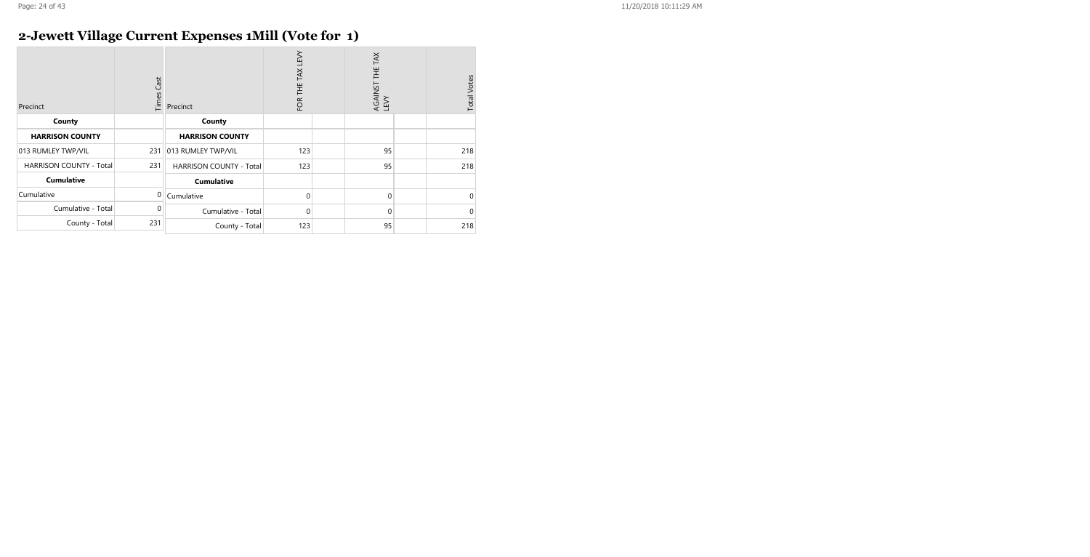# **2-Jewett Village Current Expenses 1Mill (Vote for 1)**

| Precinct                       | <b>Times Cast</b> | Precinct                | FOR THE TAX LEVY | TAX<br>Ξ<br>AGAINST<br>LEVY | <b>Total Votes</b> |
|--------------------------------|-------------------|-------------------------|------------------|-----------------------------|--------------------|
| County                         |                   | County                  |                  |                             |                    |
| <b>HARRISON COUNTY</b>         |                   | <b>HARRISON COUNTY</b>  |                  |                             |                    |
| 013 RUMLEY TWP/VIL             | 231               | 013 RUMLEY TWP/VIL      | 123              | 95                          | 218                |
| <b>HARRISON COUNTY - Total</b> | 231               | HARRISON COUNTY - Total | 123              | 95                          | 218                |
| <b>Cumulative</b>              |                   | <b>Cumulative</b>       |                  |                             |                    |
| Cumulative                     | $\Omega$          | Cumulative              | $\Omega$         | $\mathbf 0$                 | 0                  |
| Cumulative - Total             | $\Omega$          | Cumulative - Total      | $\Omega$         | $\Omega$                    | $\Omega$           |
| County - Total                 | 231               | County - Total          | 123              | 95                          | 218                |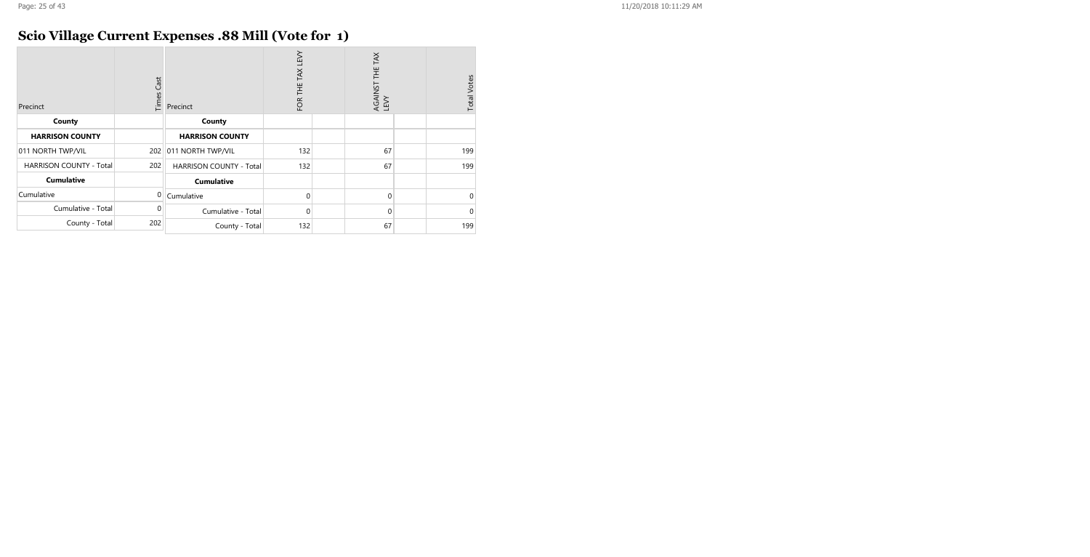# **Scio Village Current Expenses .88 Mill (Vote for 1)**

| Precinct                       | Cast<br>Times | Precinct                       | FOR THE TAX LEVY | TAX<br>半<br>AGAINST<br>LEVY | <b>Total Votes</b> |
|--------------------------------|---------------|--------------------------------|------------------|-----------------------------|--------------------|
| County                         |               | County                         |                  |                             |                    |
| <b>HARRISON COUNTY</b>         |               | <b>HARRISON COUNTY</b>         |                  |                             |                    |
| 011 NORTH TWP/VIL              |               | 202 011 NORTH TWP/VIL          | 132              | 67                          | 199                |
| <b>HARRISON COUNTY - Total</b> | 202           | <b>HARRISON COUNTY - Total</b> | 132              | 67                          | 199                |
| <b>Cumulative</b>              |               | <b>Cumulative</b>              |                  |                             |                    |
| Cumulative                     | $\Omega$      | Cumulative                     | $\Omega$         | $\Omega$                    | 0                  |
| Cumulative - Total             | $\Omega$      | Cumulative - Total             | $\Omega$         | $\mathbf 0$                 | $\mathbf 0$        |
| County - Total                 | 202           | County - Total                 | 132              | 67                          | 199                |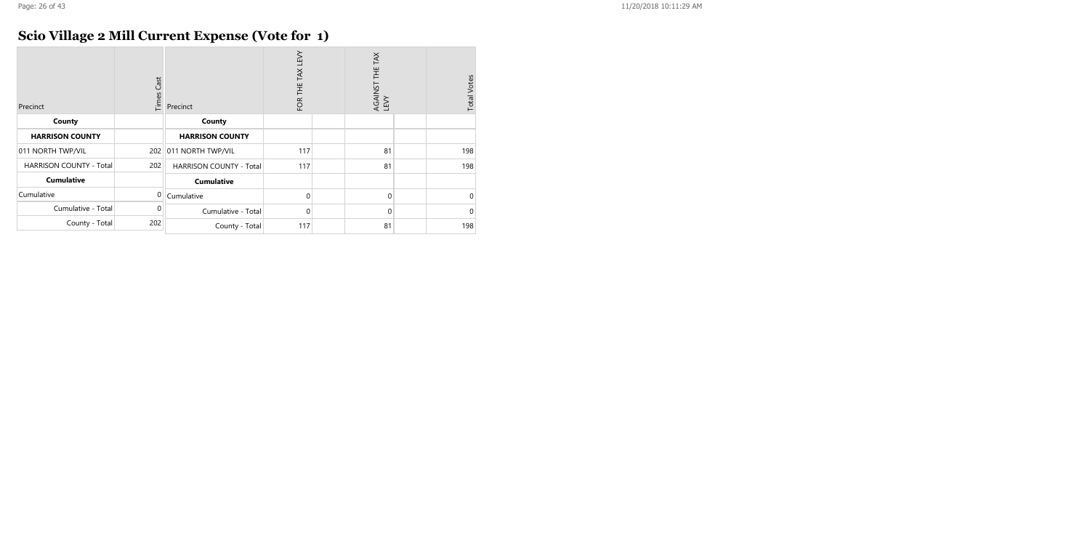# **Scio Village 2 Mill Current Expense (Vote for 1)**

| Precinct                       | <b>Times Cast</b> | Precinct                | FOR THE TAX LEVY | AGAINST THE TAX<br>LEVY | <b>Total Votes</b> |
|--------------------------------|-------------------|-------------------------|------------------|-------------------------|--------------------|
| County                         |                   | County                  |                  |                         |                    |
| <b>HARRISON COUNTY</b>         |                   | <b>HARRISON COUNTY</b>  |                  |                         |                    |
| 011 NORTH TWP/VIL              |                   | 202 011 NORTH TWP/VIL   | 117              | 81                      | 198                |
| <b>HARRISON COUNTY - Total</b> | 202               | HARRISON COUNTY - Total | 117              | 81                      | 198                |
| <b>Cumulative</b>              |                   | <b>Cumulative</b>       |                  |                         |                    |
| Cumulative                     | $\Omega$          | Cumulative              | $\Omega$         | $\Omega$                | $\mathbf 0$        |
| Cumulative - Total             | 0                 | Cumulative - Total      | $\Omega$         | $\Omega$                | $\mathbf 0$        |
| County - Total                 | 202               | County - Total          | 117              | 81                      | 198                |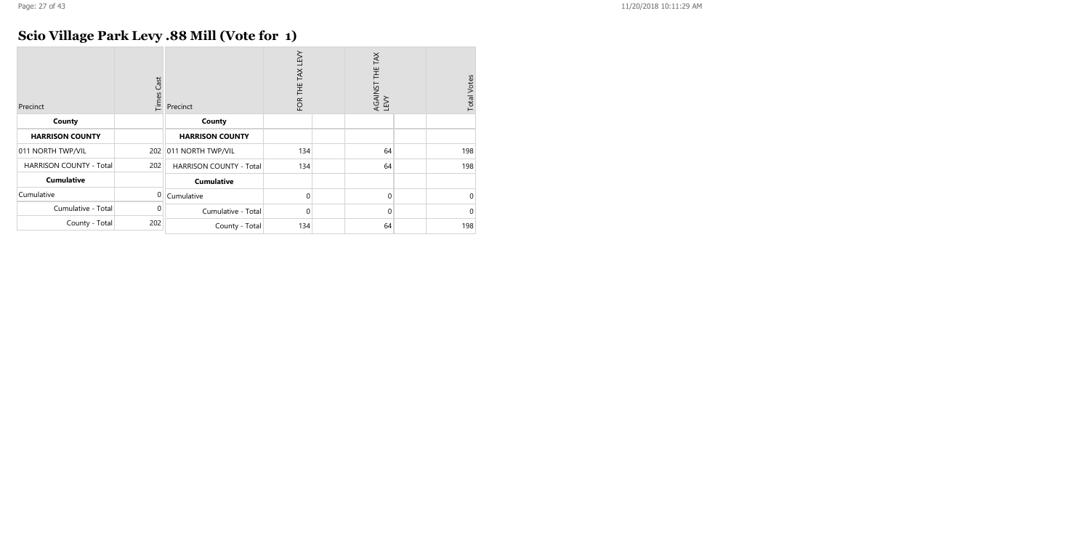# **Scio Village Park Levy .88 Mill (Vote for 1)**

| Precinct                       | Times Cast | Precinct                       | TAX LEVY<br>FOR THE | TAX<br>AGAINST THE T<br>LEVY | <b>Total Votes</b> |
|--------------------------------|------------|--------------------------------|---------------------|------------------------------|--------------------|
| County                         |            | County                         |                     |                              |                    |
| <b>HARRISON COUNTY</b>         |            | <b>HARRISON COUNTY</b>         |                     |                              |                    |
| 011 NORTH TWP/VIL              | 202        | 011 NORTH TWP/VIL              | 134                 | 64                           | 198                |
| <b>HARRISON COUNTY - Total</b> | 202        | <b>HARRISON COUNTY - Total</b> | 134                 | 64                           | 198                |
| <b>Cumulative</b>              |            | <b>Cumulative</b>              |                     |                              |                    |
| Cumulative                     | 0          | Cumulative                     | 0                   | $\mathbf 0$                  | $\mathbf 0$        |
| Cumulative - Total             | $\Omega$   | Cumulative - Total             | 0                   | $\mathbf 0$                  | $\Omega$           |
| County - Total                 | 202        | County - Total                 | 134                 | 64                           | 198                |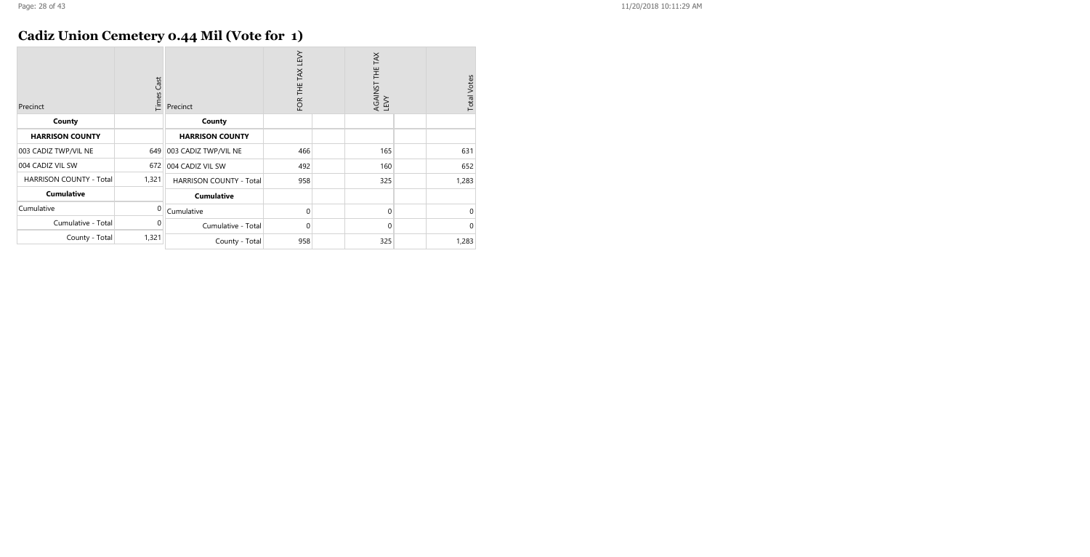# **Cadiz Union Cemetery 0.44 Mil (Vote for 1)**

| Precinct                       | Times Cast | Precinct                       | FOR THE TAX LEVY | AGAINST THE TAX<br>LEVY | <b>Total Votes</b> |
|--------------------------------|------------|--------------------------------|------------------|-------------------------|--------------------|
| County                         |            | County                         |                  |                         |                    |
| <b>HARRISON COUNTY</b>         |            | <b>HARRISON COUNTY</b>         |                  |                         |                    |
| 003 CADIZ TWP/VIL NE           | 649        | 003 CADIZ TWP/VIL NE           | 466              | 165                     | 631                |
| 004 CADIZ VIL SW               | 672        | 004 CADIZ VIL SW               | 492              | 160                     | 652                |
| <b>HARRISON COUNTY - Total</b> | 1,321      | <b>HARRISON COUNTY - Total</b> | 958              | 325                     | 1,283              |
| <b>Cumulative</b>              |            | <b>Cumulative</b>              |                  |                         |                    |
| Cumulative                     | $\Omega$   | Cumulative                     | $\Omega$         | 0                       | 0                  |
| Cumulative - Total             | 0          | Cumulative - Total             | $\mathbf 0$      | 0                       | $\mathbf 0$        |
| County - Total                 | 1,321      | County - Total                 | 958              | 325                     | 1,283              |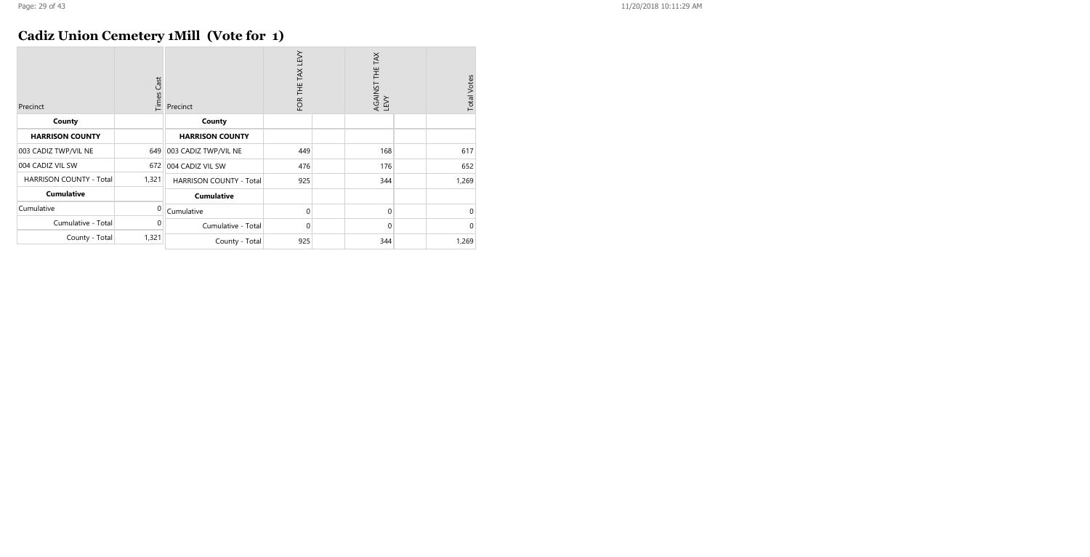# **Cadiz Union Cemetery 1Mill (Vote for 1)**

| Precinct                       | Times Cast | Precinct                       | FOR THE TAX LEVY | AGAINST THE TAX<br>LEVY | <b>Total Votes</b> |
|--------------------------------|------------|--------------------------------|------------------|-------------------------|--------------------|
| County                         |            | County                         |                  |                         |                    |
| <b>HARRISON COUNTY</b>         |            | <b>HARRISON COUNTY</b>         |                  |                         |                    |
| 003 CADIZ TWP/VIL NE           | 649        | 003 CADIZ TWP/VIL NE           | 449              | 168                     | 617                |
| 004 CADIZ VIL SW               | 672        | 004 CADIZ VIL SW               | 476              | 176                     | 652                |
| <b>HARRISON COUNTY - Total</b> | 1,321      | <b>HARRISON COUNTY - Total</b> | 925              | 344                     | 1,269              |
| <b>Cumulative</b>              |            | <b>Cumulative</b>              |                  |                         |                    |
| Cumulative                     | $\Omega$   | Cumulative                     | 0                | 0                       | $\mathbf 0$        |
| Cumulative - Total             | 0          | Cumulative - Total             | 0                | 0                       | $\mathbf 0$        |
| County - Total                 | 1,321      | County - Total                 | 925              | 344                     | 1,269              |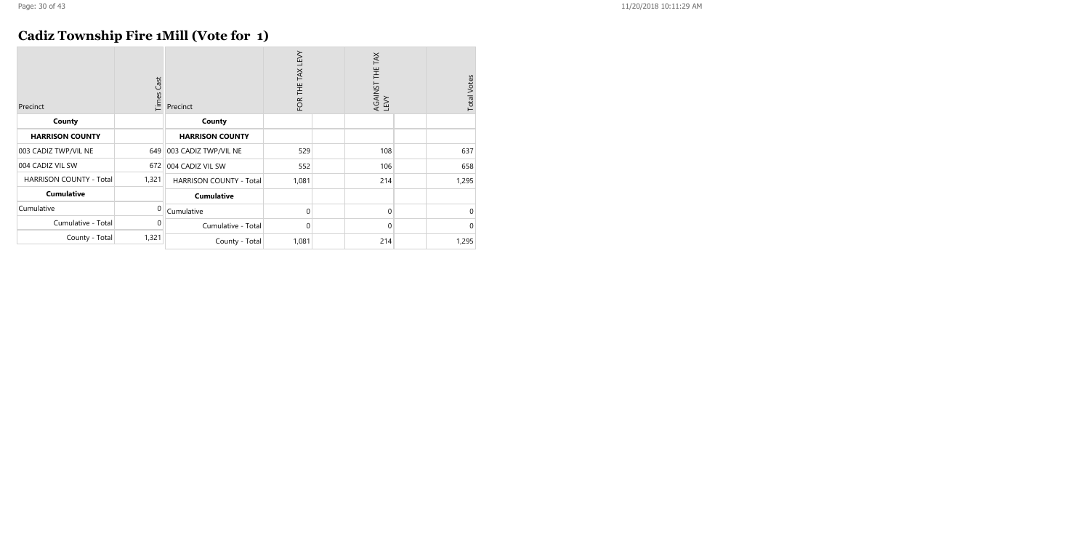# **Cadiz Township Fire 1Mill (Vote for 1)**

| Precinct                       | Times Cast | Precinct                       | FOR THE TAX LEVY | AGAINST THE TAX<br>LEVY | <b>Total Votes</b> |
|--------------------------------|------------|--------------------------------|------------------|-------------------------|--------------------|
| County                         |            | County                         |                  |                         |                    |
| <b>HARRISON COUNTY</b>         |            | <b>HARRISON COUNTY</b>         |                  |                         |                    |
| 003 CADIZ TWP/VIL NE           | 649        | 003 CADIZ TWP/VIL NE           | 529              | 108                     | 637                |
| 004 CADIZ VIL SW               | 672        | 004 CADIZ VIL SW               | 552              | 106                     | 658                |
| <b>HARRISON COUNTY - Total</b> | 1,321      | <b>HARRISON COUNTY - Total</b> | 1,081            | 214                     | 1,295              |
| <b>Cumulative</b>              |            | <b>Cumulative</b>              |                  |                         |                    |
| Cumulative                     | $\Omega$   | Cumulative                     | 0                | 0                       | $\mathbf 0$        |
| Cumulative - Total             | 0          | Cumulative - Total             | 0                | 0                       | $\mathbf 0$        |
| County - Total                 | 1,321      | County - Total                 | 1,081            | 214                     | 1,295              |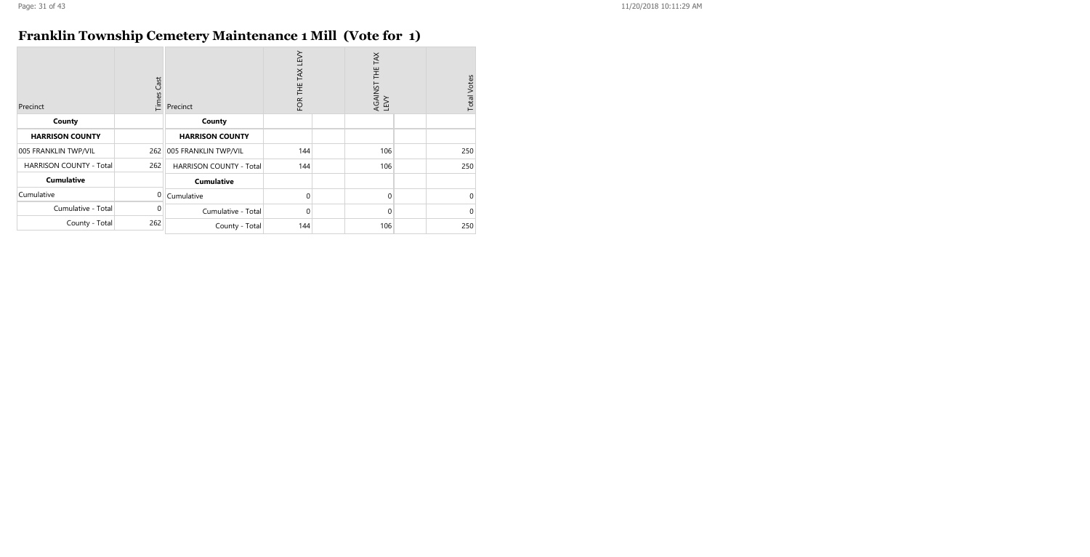### **Franklin Township Cemetery Maintenance 1 Mill (Vote for 1)**

| Precinct                       | Times Cast | Precinct                | FOR THE TAX LEVY | AGAINST THE TAX<br>LEVY | <b>Total Votes</b> |
|--------------------------------|------------|-------------------------|------------------|-------------------------|--------------------|
| County                         |            | County                  |                  |                         |                    |
| <b>HARRISON COUNTY</b>         |            | <b>HARRISON COUNTY</b>  |                  |                         |                    |
| 005 FRANKLIN TWP/VIL           | 262        | 005 FRANKLIN TWP/VIL    | 144              | 106                     | 250                |
| <b>HARRISON COUNTY - Total</b> | 262        | HARRISON COUNTY - Total | 144              | 106                     | 250                |
| <b>Cumulative</b>              |            | <b>Cumulative</b>       |                  |                         |                    |
| Cumulative                     | $\Omega$   | Cumulative              | $\Omega$         | $\Omega$                | $\mathbf 0$        |
| Cumulative - Total             | $\Omega$   | Cumulative - Total      | $\Omega$         | $\Omega$                | $\mathbf 0$        |
| County - Total                 | 262        | County - Total          | 144              | 106                     | 250                |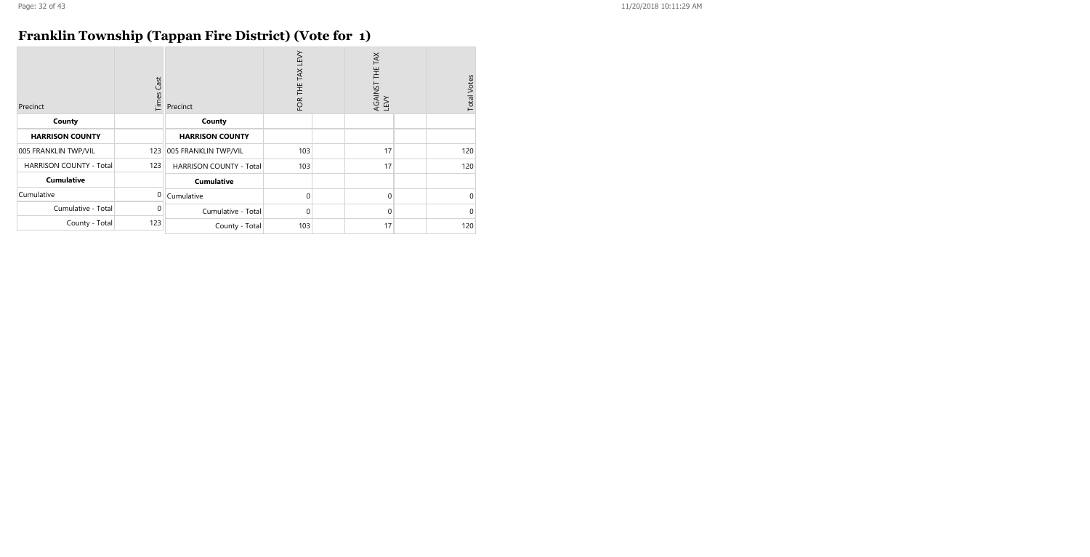# **Franklin Township (Tappan Fire District) (Vote for 1)**

| Precinct                       | Times Cast | Precinct                       | FOR THE TAX LEVY | AGAINST THE TAX<br>LEVY | <b>Total Votes</b> |
|--------------------------------|------------|--------------------------------|------------------|-------------------------|--------------------|
| County                         |            | County                         |                  |                         |                    |
| <b>HARRISON COUNTY</b>         |            | <b>HARRISON COUNTY</b>         |                  |                         |                    |
| 005 FRANKLIN TWP/VIL           | 123        | 005 FRANKLIN TWP/VIL           | 103              | 17                      | 120                |
| <b>HARRISON COUNTY - Total</b> | 123        | <b>HARRISON COUNTY - Total</b> | 103              | 17                      | 120                |
| <b>Cumulative</b>              |            | <b>Cumulative</b>              |                  |                         |                    |
| Cumulative                     | $\Omega$   | Cumulative                     | $\Omega$         | $\mathbf{0}$            | $\Omega$           |
| Cumulative - Total             | $\Omega$   | Cumulative - Total             | $\Omega$         | $\mathbf{0}$            | $\mathbf 0$        |
| County - Total                 | 123        | County - Total                 | 103              | 17                      | 120                |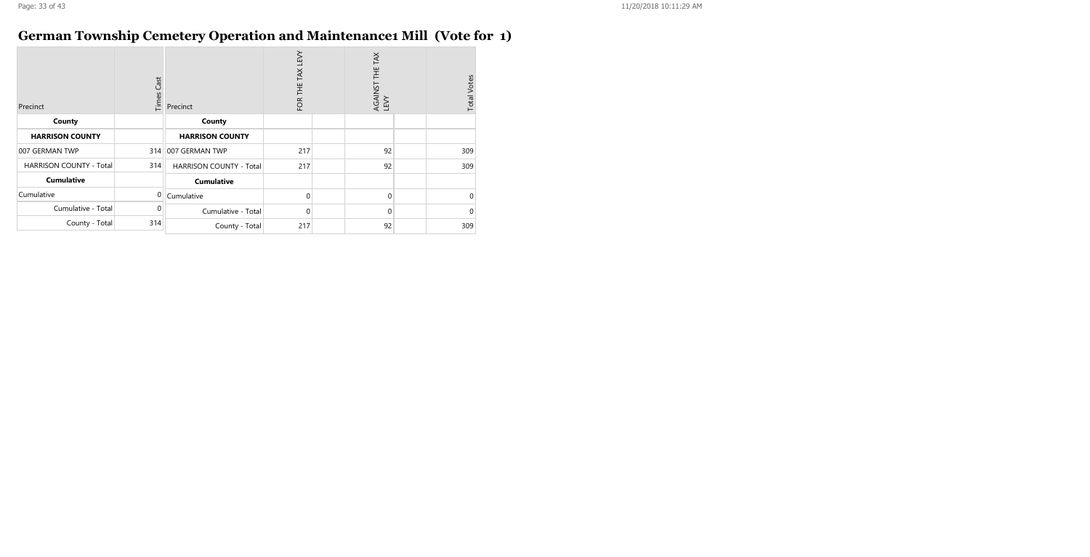### **German Township Cemetery Operation and Maintenance1 Mill (Vote for 1)**

| Precinct                       | Cast<br>Times | Precinct                       | <b>N3T</b><br>TAX<br>Ë<br>FOR | AGAINST THE TAX<br>LEVY | <b>Total Votes</b> |
|--------------------------------|---------------|--------------------------------|-------------------------------|-------------------------|--------------------|
| County                         |               | County                         |                               |                         |                    |
| <b>HARRISON COUNTY</b>         |               | <b>HARRISON COUNTY</b>         |                               |                         |                    |
| 007 GERMAN TWP                 |               | 314   007 GERMAN TWP           | 217                           | 92                      | 309                |
| <b>HARRISON COUNTY - Total</b> | 314           | <b>HARRISON COUNTY - Total</b> | 217                           | 92                      | 309                |
| <b>Cumulative</b>              |               | <b>Cumulative</b>              |                               |                         |                    |
| Cumulative                     | 0             | Cumulative                     | $\Omega$                      | 0                       | $\Omega$           |
| Cumulative - Total             | 0             | Cumulative - Total             | 0                             | 0                       | $\Omega$           |
| County - Total                 | 314           | County - Total                 | 217                           | 92                      | 309                |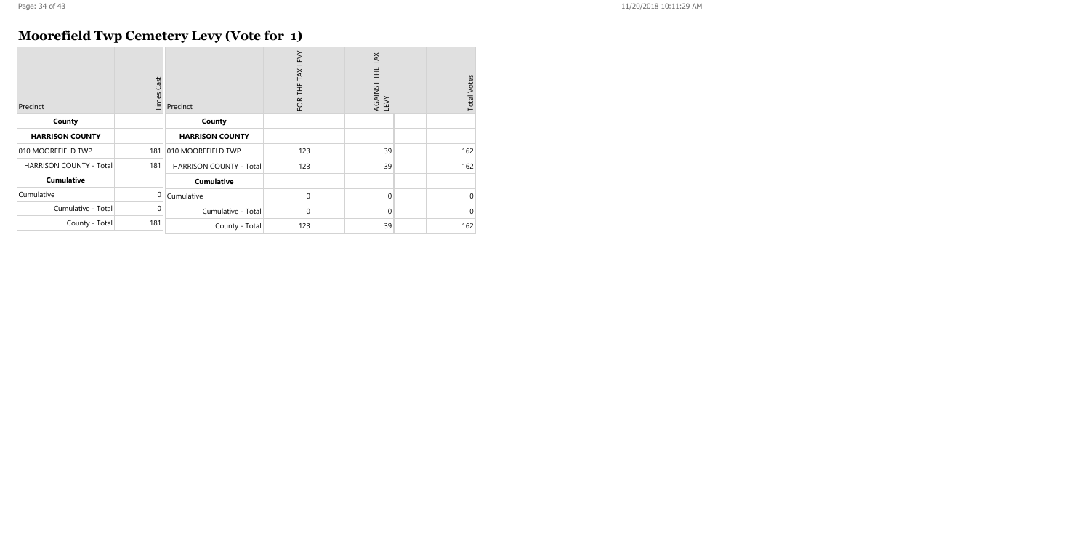# **Moorefield Twp Cemetery Levy (Vote for 1)**

| Precinct                       | <b>Times Cast</b> | Precinct                       | FOR THE TAX LEVY | TAX<br>半<br>AGAINST<br>LEVY | <b>Total Votes</b> |
|--------------------------------|-------------------|--------------------------------|------------------|-----------------------------|--------------------|
| County                         |                   | County                         |                  |                             |                    |
| <b>HARRISON COUNTY</b>         |                   | <b>HARRISON COUNTY</b>         |                  |                             |                    |
| 010 MOOREFIELD TWP             | 181               | 010 MOOREFIELD TWP             | 123              | 39                          | 162                |
| <b>HARRISON COUNTY - Total</b> | 181               | <b>HARRISON COUNTY - Total</b> | 123              | 39                          | 162                |
| <b>Cumulative</b>              |                   | <b>Cumulative</b>              |                  |                             |                    |
| Cumulative                     | 0                 | Cumulative                     | $\Omega$         | $\mathbf{0}$                | 0                  |
| Cumulative - Total             | $\Omega$          | Cumulative - Total             | $\Omega$         | $\mathbf 0$                 | $\Omega$           |
| County - Total                 | 181               | County - Total                 | 123              | 39                          | 162                |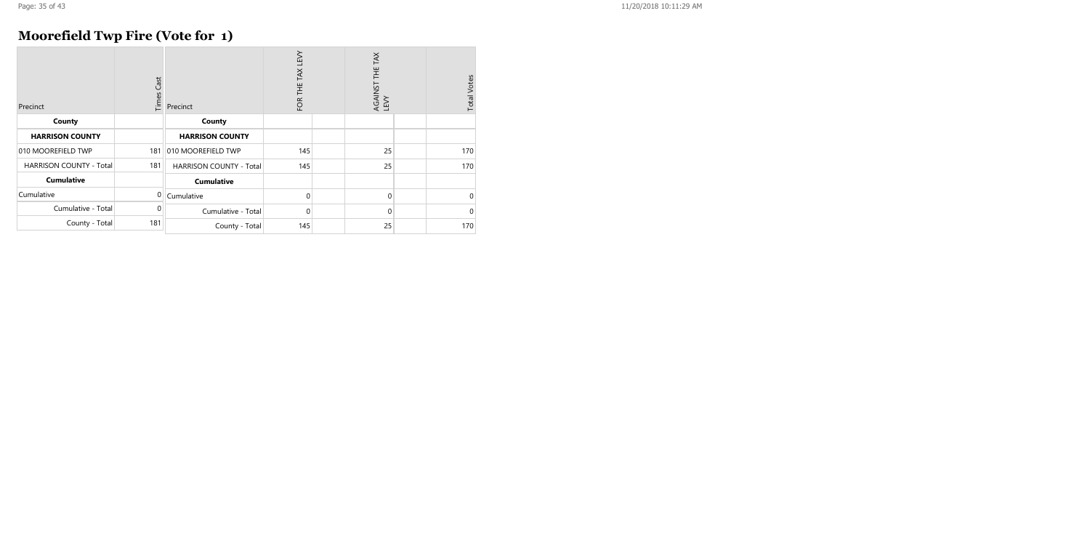# **Moorefield Twp Fire (Vote for 1)**

| Precinct                       | Cast<br>Times | Precinct                       | TAX LEVY<br>FOR THE | TAX<br>Ξ<br>AGAINST<br>LEVY | <b>Total Votes</b> |
|--------------------------------|---------------|--------------------------------|---------------------|-----------------------------|--------------------|
| County                         |               | County                         |                     |                             |                    |
| <b>HARRISON COUNTY</b>         |               | <b>HARRISON COUNTY</b>         |                     |                             |                    |
| 010 MOOREFIELD TWP             | 181           | 010 MOOREFIELD TWP             | 145                 | 25                          | 170                |
| <b>HARRISON COUNTY - Total</b> | 181           | <b>HARRISON COUNTY - Total</b> | 145                 | 25                          | 170                |
| <b>Cumulative</b>              |               | <b>Cumulative</b>              |                     |                             |                    |
| Cumulative                     | 0             | Cumulative                     | $\Omega$            | $\Omega$                    | 0                  |
| Cumulative - Total             | 0             | Cumulative - Total             | $\Omega$            | $\Omega$                    | 0                  |
| County - Total                 | 181           | County - Total                 | 145                 | 25                          | 170                |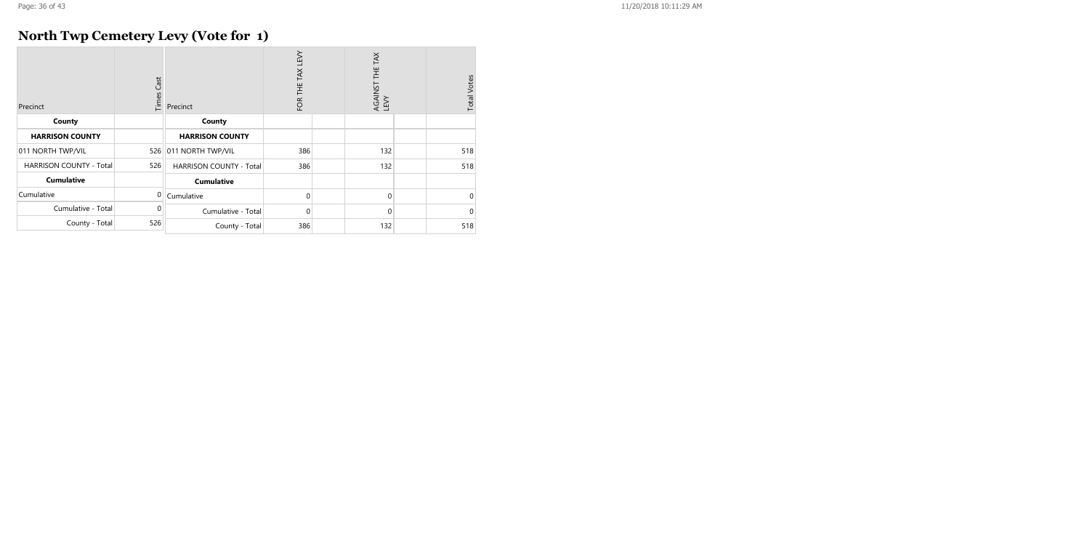# **North Twp Cemetery Levy (Vote for 1)**

| Precinct                       | Cast<br>Times | Precinct                       | FOR THE TAX LEVY |  | AGAINST THE TAX<br>LEVY |  | <b>Total Votes</b> |
|--------------------------------|---------------|--------------------------------|------------------|--|-------------------------|--|--------------------|
| County                         |               | County                         |                  |  |                         |  |                    |
| <b>HARRISON COUNTY</b>         |               | <b>HARRISON COUNTY</b>         |                  |  |                         |  |                    |
| 011 NORTH TWP/VIL              | 526           | 011 NORTH TWP/VIL              | 386              |  | 132                     |  | 518                |
| <b>HARRISON COUNTY - Total</b> | 526           | <b>HARRISON COUNTY - Total</b> | 386              |  | 132                     |  | 518                |
| <b>Cumulative</b>              |               | <b>Cumulative</b>              |                  |  |                         |  |                    |
| Cumulative                     | $\Omega$      | Cumulative                     | $\Omega$         |  | $\mathbf 0$             |  | $\Omega$           |
| Cumulative - Total             | 0             | Cumulative - Total             | 0                |  | $\mathbf 0$             |  | 0                  |
| County - Total                 | 526           | County - Total                 | 386              |  | 132                     |  | 518                |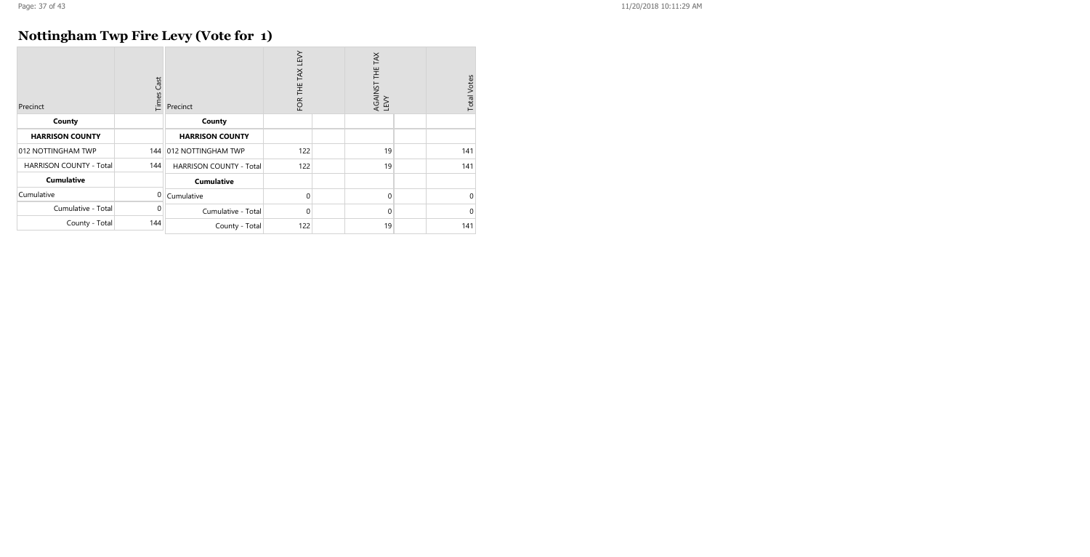# **Nottingham Twp Fire Levy (Vote for 1)**

| Precinct                       | Cast<br>Times | Precinct                       | FOR THE TAX LEVY |  | AGAINST THE TAX<br>LEVY |  | <b>Total Votes</b> |
|--------------------------------|---------------|--------------------------------|------------------|--|-------------------------|--|--------------------|
| County                         |               | County                         |                  |  |                         |  |                    |
| <b>HARRISON COUNTY</b>         |               | <b>HARRISON COUNTY</b>         |                  |  |                         |  |                    |
| 012 NOTTINGHAM TWP             | 144           | 012 NOTTINGHAM TWP             | 122              |  | 19                      |  | 141                |
| <b>HARRISON COUNTY - Total</b> | 144           | <b>HARRISON COUNTY - Total</b> | 122              |  | 19                      |  | 141                |
| <b>Cumulative</b>              |               | <b>Cumulative</b>              |                  |  |                         |  |                    |
| Cumulative                     | 0             | Cumulative                     | $\Omega$         |  | $\Omega$                |  | $\Omega$           |
| Cumulative - Total             | 0             | Cumulative - Total             | $\Omega$         |  | 0                       |  | $\Omega$           |
| County - Total                 | 144           | County - Total                 | 122              |  | 19                      |  | 141                |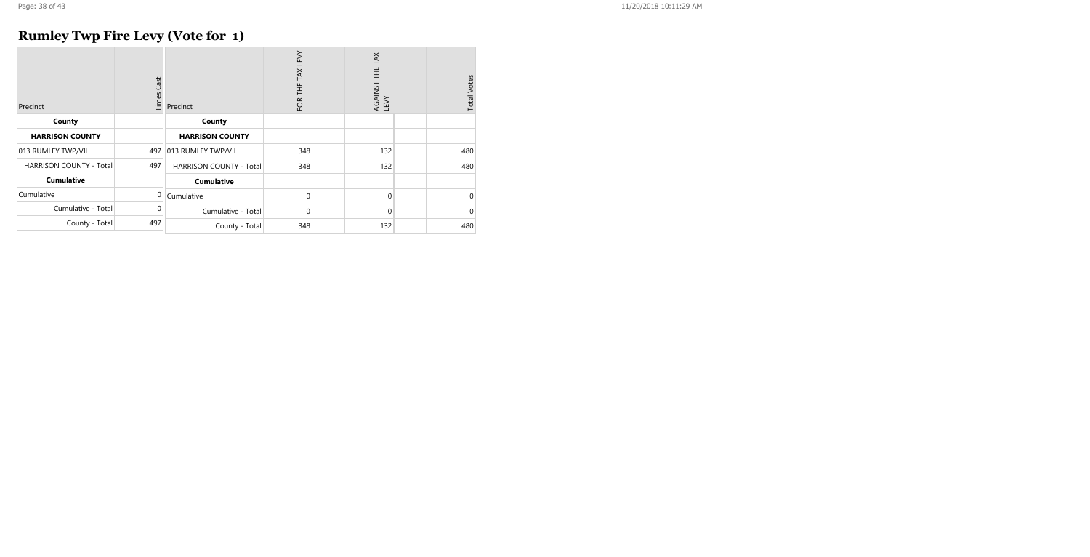# **Rumley Twp Fire Levy (Vote for 1)**

| Precinct                       | Cast<br>Times | Precinct                       | FOR THE TAX LEVY | TAX<br>AGAINST THE T<br>LEVY | <b>Total Votes</b> |
|--------------------------------|---------------|--------------------------------|------------------|------------------------------|--------------------|
| County                         |               | County                         |                  |                              |                    |
| <b>HARRISON COUNTY</b>         |               | <b>HARRISON COUNTY</b>         |                  |                              |                    |
| 013 RUMLEY TWP/VIL             | 497           | 013 RUMLEY TWP/VIL             | 348              | 132                          | 480                |
| <b>HARRISON COUNTY - Total</b> | 497           | <b>HARRISON COUNTY - Total</b> | 348              | 132                          | 480                |
| <b>Cumulative</b>              |               | <b>Cumulative</b>              |                  |                              |                    |
| Cumulative                     | 0             | Cumulative                     | $\Omega$         | $\mathbf 0$                  | $\mathbf 0$        |
| Cumulative - Total             | 0             | Cumulative - Total             | 0                | $\mathbf 0$                  | $\mathbf 0$        |
| County - Total                 | 497           | County - Total                 | 348              | 132                          | 480                |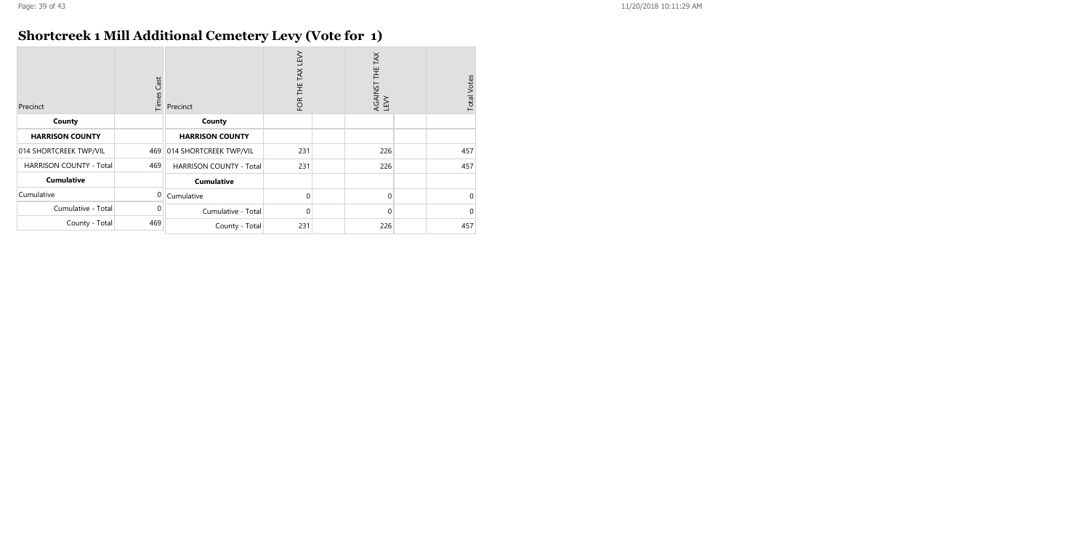# **Shortcreek 1 Mill Additional Cemetery Levy (Vote for 1)**

| Precinct                       | <b>Times Cast</b> | Precinct                | FOR THE TAX LEVY |  | AGAINST THE TAX<br>LEVY |  | <b>Total Votes</b> |
|--------------------------------|-------------------|-------------------------|------------------|--|-------------------------|--|--------------------|
| County                         |                   | County                  |                  |  |                         |  |                    |
| <b>HARRISON COUNTY</b>         |                   | <b>HARRISON COUNTY</b>  |                  |  |                         |  |                    |
| 014 SHORTCREEK TWP/VIL         | 469               | 014 SHORTCREEK TWP/VIL  | 231              |  | 226                     |  | 457                |
| <b>HARRISON COUNTY - Total</b> | 469               | HARRISON COUNTY - Total | 231              |  | 226                     |  | 457                |
| <b>Cumulative</b>              |                   | <b>Cumulative</b>       |                  |  |                         |  |                    |
| Cumulative                     | $\overline{0}$    | Cumulative              | $\Omega$         |  | $\mathbf 0$             |  | $\mathbf 0$        |
| Cumulative - Total             | $\Omega$          | Cumulative - Total      | $\Omega$         |  | $\mathbf 0$             |  | $\mathbf 0$        |
| County - Total                 | 469               | County - Total          | 231              |  | 226                     |  | 457                |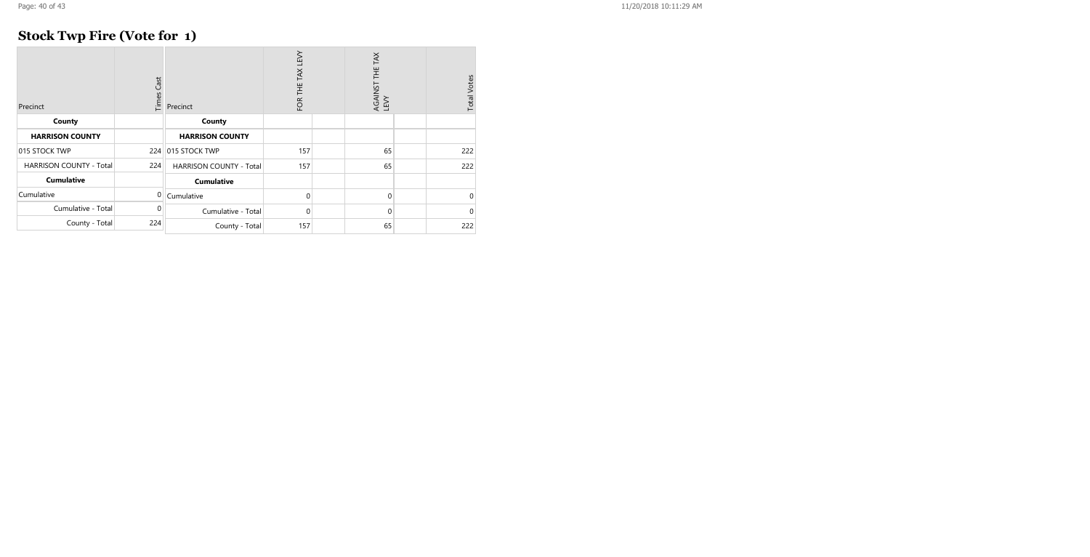# **Stock Twp Fire (Vote for 1)**

| Precinct                       | Times Cast     | Precinct                       | LEV<br>TAX<br>FOR THE |  | AGAINST THE TAX<br>LEVY |  | <b>Total Votes</b> |
|--------------------------------|----------------|--------------------------------|-----------------------|--|-------------------------|--|--------------------|
| County                         |                | County                         |                       |  |                         |  |                    |
| <b>HARRISON COUNTY</b>         |                | <b>HARRISON COUNTY</b>         |                       |  |                         |  |                    |
| 015 STOCK TWP                  |                | 224 015 STOCK TWP              | 157                   |  | 65                      |  | 222                |
| <b>HARRISON COUNTY - Total</b> | 224            | <b>HARRISON COUNTY - Total</b> | 157                   |  | 65                      |  | 222                |
| <b>Cumulative</b>              |                | <b>Cumulative</b>              |                       |  |                         |  |                    |
| Cumulative                     | $\overline{0}$ | Cumulative                     | 0                     |  | 0                       |  | $\mathbf 0$        |
| Cumulative - Total             | 0              | Cumulative - Total             | 0                     |  | $\mathbf 0$             |  | $\mathbf 0$        |
| County - Total                 | 224            | County - Total                 | 157                   |  | 65                      |  | 222                |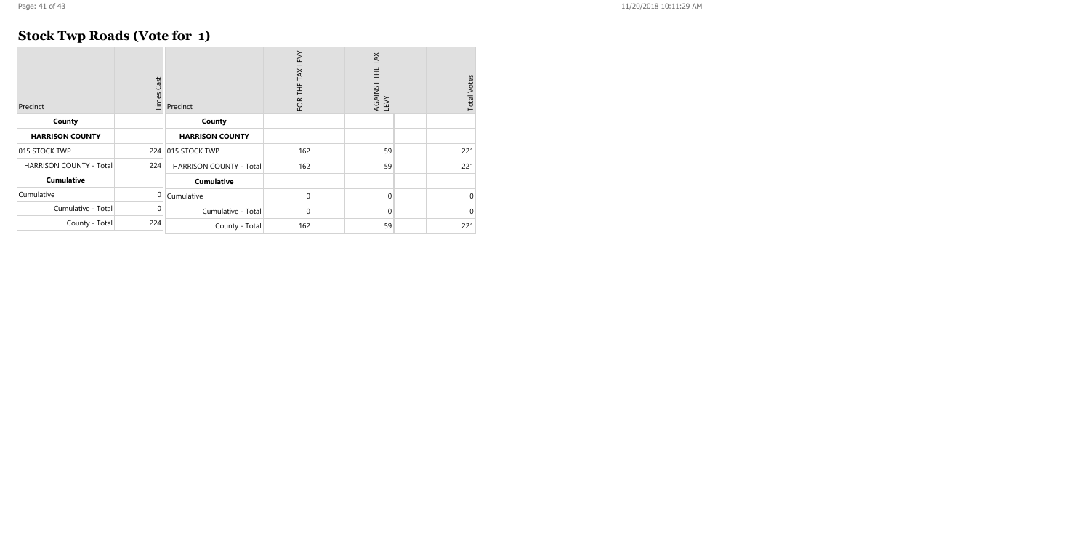# **Stock Twp Roads (Vote for 1)**

| Precinct                | Times Cast | Precinct                       | TEN<br>TAX<br>FOR THE |  | TAX<br>AGAINST THE T<br>LEVY |  | <b>Total Votes</b> |
|-------------------------|------------|--------------------------------|-----------------------|--|------------------------------|--|--------------------|
| County                  |            | County                         |                       |  |                              |  |                    |
| <b>HARRISON COUNTY</b>  |            | <b>HARRISON COUNTY</b>         |                       |  |                              |  |                    |
| 015 STOCK TWP           |            | 224 015 STOCK TWP              | 162                   |  | 59                           |  | 221                |
| HARRISON COUNTY - Total | 224        | <b>HARRISON COUNTY - Total</b> | 162                   |  | 59                           |  | 221                |
| <b>Cumulative</b>       |            | <b>Cumulative</b>              |                       |  |                              |  |                    |
| Cumulative              | 0          | Cumulative                     | 0                     |  | $\mathbf 0$                  |  | $\mathbf 0$        |
| Cumulative - Total      | 0          | Cumulative - Total             | 0                     |  | $\mathbf 0$                  |  | $\mathbf 0$        |
| County - Total          | 224        | County - Total                 | 162                   |  | 59                           |  | 221                |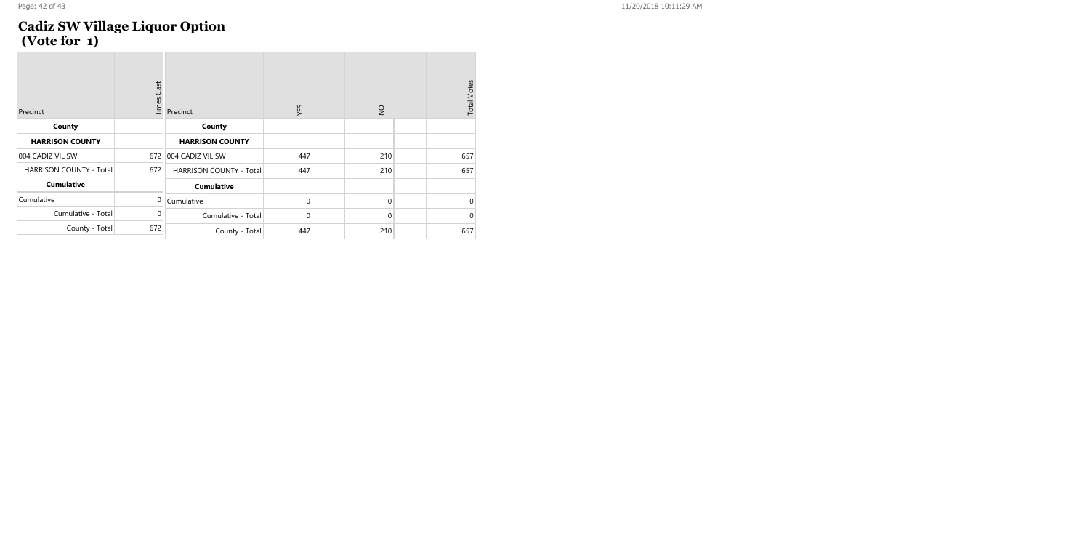#### Page: 42 of 43 11/20/2018 10:11:29 AM

#### **Cadiz SW Village Liquor Option (Vote for 1)**

| Precinct                | Times Cast  | Precinct                       | YES            | $\frac{1}{2}$ | <b>Total Votes</b> |
|-------------------------|-------------|--------------------------------|----------------|---------------|--------------------|
| County                  |             | County                         |                |               |                    |
| <b>HARRISON COUNTY</b>  |             | <b>HARRISON COUNTY</b>         |                |               |                    |
| 004 CADIZ VIL SW        | 672         | 004 CADIZ VIL SW               | 447            | 210           | 657                |
| HARRISON COUNTY - Total | 672         | <b>HARRISON COUNTY - Total</b> | 447            | 210           | 657                |
| <b>Cumulative</b>       |             | <b>Cumulative</b>              |                |               |                    |
| Cumulative              | $\Omega$    | Cumulative                     | $\mathbf 0$    | $\mathbf 0$   | $\overline{0}$     |
| Cumulative - Total      | $\mathbf 0$ | Cumulative - Total             | $\overline{0}$ | $\mathbf 0$   | $\overline{0}$     |
| County - Total          | 672         | County - Total                 | 447            | 210           | 657                |